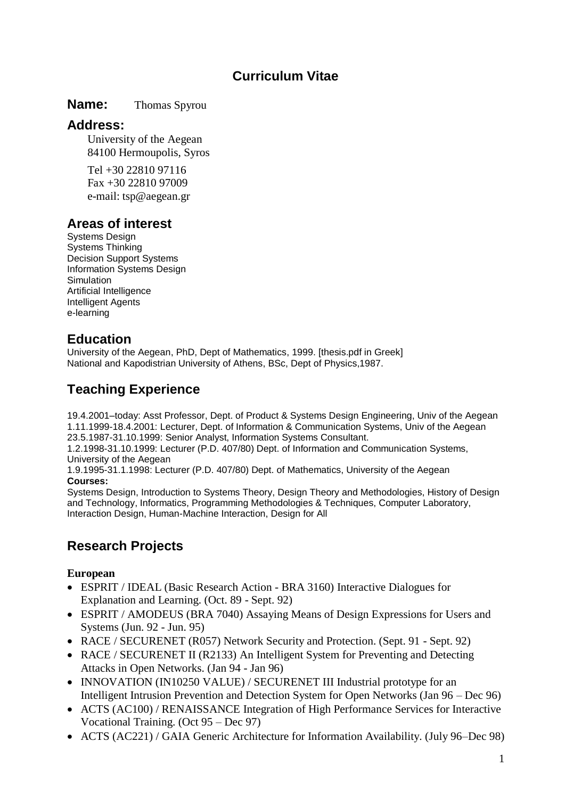## **Curriculum Vitae**

#### **Name:** Thomas Spyrou

### **Address:**

University of the Aegean 84100 Hermoupolis, Syros

Tel +30 22810 97116 Fax +30 22810 97009 e-mail: tsp@aegean.gr

## **Areas of interest**

Systems Design [Systems Thinking](http://www.syros.aegean.gr/users/tsp/SystemsThinking.htm) Decision Support Systems Information Systems Design Simulation Artificial Intelligence Intelligent Agents e-learning

## **Education**

[University of the Aegean,](http://www.aegean.gr/) PhD, [Dept of Mathematics,](http://www.samos.aegean.gr/) 1999. [\[thesis.pdf in Greek\]](http://www.syros.aegean.gr/users/tsp/Books/PhD_tsp_f) [National and Kapodistrian University of Athens,](http://www.uoa.gr/) BSc, [Dept of Physics,](http://www.uoa.gr/physics)1987.

# **Teaching Experience**

19.4.2001–today: Asst Professor, Dept. of Product & Systems Design Engineering, Univ of the Aegean 1.11.1999-18.4.2001: Lecturer, Dept. of Information & Communication Systems, Univ of the Aegean 23.5.1987-31.10.1999: Senior Analyst, Information Systems Consultant.

1.2.1998-31.10.1999: Lecturer (P.D. 407/80) Dept. of Information and Communication Systems, University of the Aegean

1.9.1995-31.1.1998: Lecturer (P.D. 407/80) Dept. of Mathematics, University of the Aegean **Courses:**

Systems Design, Introduction to Systems Theory, Design Theory and Methodologies, History of Design and Technology, Informatics, Programming Methodologies & Techniques, Computer Laboratory, Interaction Design, Human-Machine Interaction, Design for All

## **Research Projects**

#### **European**

- ESPRIT / IDEAL (Basic Research Action BRA 3160) Interactive Dialogues for Explanation and Learning. (Oct. 89 - Sept. 92)
- ESPRIT / AMODEUS (BRA 7040) Assaying Means of Design Expressions for Users and Systems (Jun. 92 - Jun. 95)
- RACE / SECURENET (R057) Network Security and Protection. (Sept. 91 Sept. 92)
- RACE / SECURENET II (R2133) An Intelligent System for Preventing and Detecting Attacks in Open Networks. (Jan 94 - Jan 96)
- INNOVATION (IN10250 VALUE) / SECURENET III Industrial prototype for an Intelligent Intrusion Prevention and Detection System for Open Networks (Jan 96 – Dec 96)
- ACTS (AC100) / RENAISSANCE Integration of High Performance Services for Interactive Vocational Training. (Oct 95 – Dec 97)
- ACTS (AC221) / GAIA Generic Architecture for Information Availability. (July 96–Dec 98)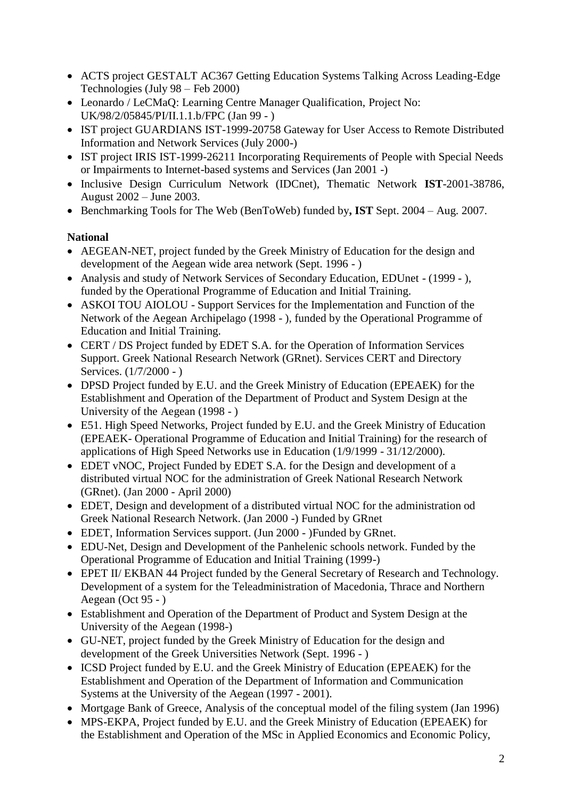- ACTS project GESTALT AC367 Getting Education Systems Talking Across Leading-Edge Technologies (July 98 – Feb 2000)
- Leonardo / LeCMaQ: Learning Centre Manager Qualification, Project No: UK/98/2/05845/PI/II.1.1.b/FPC (Jan 99 - )
- IST project GUARDIANS IST-1999-20758 Gateway for User Access to Remote Distributed Information and Network Services (July 2000-)
- IST project IRIS IST-1999-26211 Incorporating Requirements of People with Special Needs or Impairments to Internet-based systems and Services (Jan 2001 -)
- Inclusive Design Curriculum Network (IDCnet), Thematic Network **IST**-2001-38786, August 2002 – June 2003.
- Benchmarking Tools for The Web (BenToWeb) funded by**, IST** Sept. 2004 Aug. 2007.

### **National**

- AEGEAN-NET, project funded by the Greek Ministry of Education for the design and development of the Aegean wide area network (Sept. 1996 - )
- Analysis and study of Network Services of Secondary Education, EDUnet (1999 ), funded by the Operational Programme of Education and Initial Training.
- ASKOI TOU AIOLOU Support Services for the Implementation and Function of the Network of the Aegean Archipelago (1998 - ), funded by the Operational Programme of Education and Initial Training.
- CERT / DS Project funded by EDET S.A. for the Operation of Information Services Support. Greek National Research Network (GRnet). Services CERT and Directory Services. (1/7/2000 - )
- DPSD Project funded by E.U. and the Greek Ministry of Education (EPEAEK) for the Establishment and Operation of the Department of Product and System Design at the University of the Aegean (1998 - )
- E51. High Speed Networks, Project funded by E.U. and the Greek Ministry of Education (EPEAEK- Operational Programme of Education and Initial Training) for the research of applications of High Speed Networks use in Education (1/9/1999 - 31/12/2000).
- EDET vNOC, Project Funded by EDET S.A. for the Design and development of a distributed virtual NOC for the administration of Greek National Research Network (GRnet). (Jan 2000 - April 2000)
- EDET, Design and development of a distributed virtual NOC for the administration od Greek National Research Network. (Jan 2000 -) Funded by GRnet
- EDET, Information Services support. (Jun 2000 )Funded by GRnet.
- EDU-Net, Design and Development of the Panhelenic schools network. Funded by the Operational Programme of Education and Initial Training (1999-)
- EPET II/ EKBAN 44 Project funded by the General Secretary of Research and Technology. Development of a system for the Teleadministration of Macedonia, Thrace and Northern Aegean (Oct 95 - )
- Establishment and Operation of the Department of Product and System Design at the University of the Aegean (1998-)
- GU-NET, project funded by the Greek Ministry of Education for the design and development of the Greek Universities Network (Sept. 1996 - )
- ICSD Project funded by E.U. and the Greek Ministry of Education (EPEAEK) for the Establishment and Operation of the Department of Information and Communication Systems at the University of the Aegean (1997 - 2001).
- Mortgage Bank of Greece, Analysis of the conceptual model of the filing system (Jan 1996)
- MPS-EKPA, Project funded by E.U. and the Greek Ministry of Education (EPEAEK) for the Establishment and Operation of the MSc in Applied Economics and Economic Policy,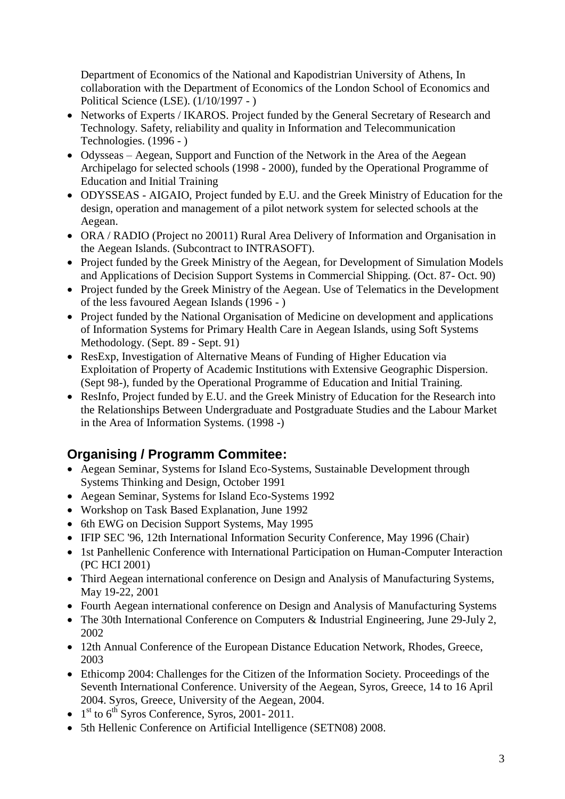Department of Economics of the National and Kapodistrian University of Athens, In collaboration with the Department of Economics of the London School of Economics and Political Science (LSE). (1/10/1997 - )

- Networks of Experts / IKAROS. Project funded by the General Secretary of Research and Technology. Safety, reliability and quality in Information and Telecommunication Technologies. (1996 - )
- Odysseas Aegean, Support and Function of the Network in the Area of the Aegean Archipelago for selected schools (1998 - 2000), funded by the Operational Programme of Education and Initial Training
- ODYSSEAS AIGAIO, Project funded by E.U. and the Greek Ministry of Education for the design, operation and management of a pilot network system for selected schools at the Aegean.
- ORA / RADIO (Project no 20011) Rural Area Delivery of Information and Organisation in the Aegean Islands. (Subcontract to INTRASOFT).
- Project funded by the Greek Ministry of the Aegean, for Development of Simulation Models and Applications of Decision Support Systems in Commercial Shipping. (Oct. 87- Oct. 90)
- Project funded by the Greek Ministry of the Aegean. Use of Telematics in the Development of the less favoured Aegean Islands (1996 - )
- Project funded by the National Organisation of Medicine on development and applications of Information Systems for Primary Health Care in Aegean Islands, using Soft Systems Methodology. (Sept. 89 - Sept. 91)
- ResExp, Investigation of Alternative Means of Funding of Higher Education via Exploitation of Property of Academic Institutions with Extensive Geographic Dispersion. (Sept 98-), funded by the Operational Programme of Education and Initial Training.
- ResInfo, Project funded by E.U. and the Greek Ministry of Education for the Research into the Relationships Between Undergraduate and Postgraduate Studies and the Labour Market in the Area of Information Systems. (1998 -)

# **Organising / Programm Commitee:**

- Aegean Seminar, Systems for Island Eco-Systems, Sustainable Development through Systems Thinking and Design, October 1991
- Aegean Seminar, Systems for Island Eco-Systems 1992
- Workshop on Task Based Explanation, June 1992
- 6th EWG on Decision Support Systems, May 1995
- IFIP SEC '96, 12th International Information Security Conference, May 1996 (Chair)
- 1st Panhellenic Conference with International Participation on Human-Computer Interaction (PC HCI 2001)
- Third Aegean international conference on Design and Analysis of Manufacturing Systems, May 19-22, 2001
- Fourth Aegean international conference on Design and Analysis of Manufacturing Systems
- The 30th International Conference on Computers & Industrial Engineering, June 29-July 2, 2002
- 12th Annual Conference of the European Distance Education Network, Rhodes, Greece, 2003
- Ethicomp 2004: Challenges for the Citizen of the Information Society. Proceedings of the Seventh International Conference. University of the Aegean, Syros, Greece, 14 to 16 April 2004. Syros, Greece, University of the Aegean, 2004.
- $\bullet$  1<sup>st</sup> to 6<sup>th</sup> Syros Conference, Syros, 2001-2011.
- 5th Hellenic Conference on Artificial Intelligence (SETN08) 2008.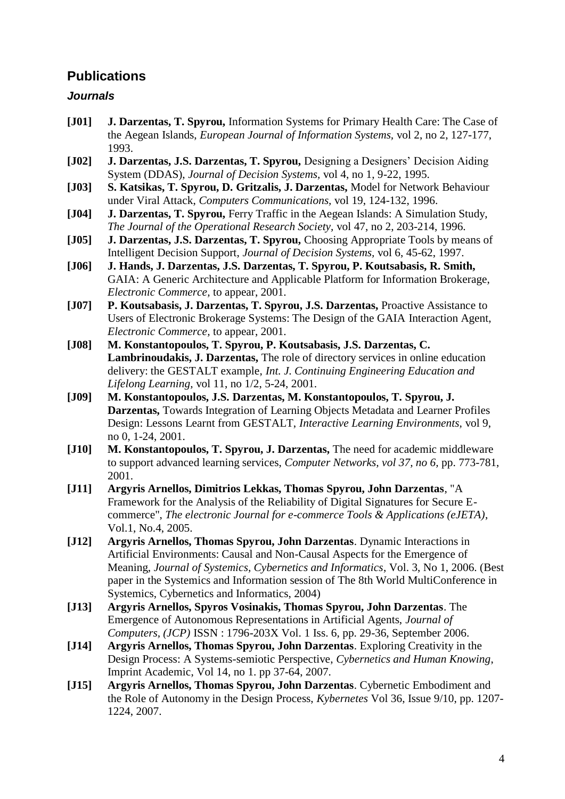## **Publications**

#### *Journals*

- **[J01] J. Darzentas, T. Spyrou,** Information Systems for Primary Health Care: The Case of the Aegean Islands, *European Journal of Information Systems,* vol 2, no 2, 127-177, 1993.
- **[J02] J. Darzentas, J.S. Darzentas, T. Spyrou,** Designing a Designers' Decision Aiding System (DDAS), *Journal of Decision Systems,* vol 4, no 1, 9-22, 1995.
- **[J03] S. Katsikas, T. Spyrou, D. Gritzalis, J. Darzentas,** Model for Network Behaviour under Viral Attack, *Computers Communications,* vol 19, 124-132, 1996.
- **[J04] J. Darzentas, T. Spyrou,** Ferry Traffic in the Aegean Islands: A Simulation Study, *The Journal of the Operational Research Society,* vol 47, no 2, 203-214, 1996.
- **[J05] J. Darzentas, J.S. Darzentas, T. Spyrou,** Choosing Appropriate Tools by means of Intelligent Decision Support, *Journal of Decision Systems,* vol 6, 45-62, 1997.
- **[J06] J. Hands, J. Darzentas, J.S. Darzentas, T. Spyrou, P. Koutsabasis, R. Smith,**  GAIA: A Generic Architecture and Applicable Platform for Information Brokerage, *Electronic Commerce,* to appear, 2001.
- **[J07] P. Koutsabasis, J. Darzentas, T. Spyrou, J.S. Darzentas,** Proactive Assistance to Users of Electronic Brokerage Systems: The Design of the GAIA Interaction Agent, *Electronic Commerce,* to appear, 2001.
- **[J08] M. Konstantopoulos, T. Spyrou, P. Koutsabasis, J.S. Darzentas, C. Lambrinoudakis, J. Darzentas,** The role of directory services in online education delivery: the GESTALT example, *Int. J. Continuing Engineering Education and Lifelong Learning,* vol 11, no 1/2, 5-24, 2001.
- **[J09] M. Konstantopoulos, J.S. Darzentas, M. Konstantopoulos, T. Spyrou, J. Darzentas,** Towards Integration of Learning Objects Metadata and Learner Profiles Design: Lessons Learnt from GESTALT, *Interactive Learning Environments,* vol 9, no 0, 1-24, 2001.
- **[J10] M. Konstantopoulos, T. Spyrou, J. Darzentas,** The need for academic middleware to support advanced learning services, *Computer Networks, vol 37, no 6,* pp. 773-781, 2001.
- **[J11] Argyris Arnellos, Dimitrios Lekkas, Thomas Spyrou, John Darzentas**, "A Framework for the Analysis of the Reliability of Digital Signatures for Secure Ecommerce", *The electronic Journal for e-commerce Tools & Applications (eJETA)*, Vol.1, No.4, 2005.
- **[J12] Argyris Arnellos, Thomas Spyrou, John Darzentas**. Dynamic Interactions in Artificial Environments: Causal and Non-Causal Aspects for the Emergence of Meaning, *Journal of Systemics, Cybernetics and Informatics*, Vol. 3, No 1, 2006. (Best paper in the Systemics and Information session of The 8th World MultiConference in Systemics, Cybernetics and Informatics, 2004)
- **[J13] Argyris Arnellos, Spyros Vosinakis, Thomas Spyrou, John Darzentas**. The Emergence of Autonomous Representations in Artificial Agents, *Journal of Computers, (JCP)* ISSN : 1796-203X Vol. 1 Iss. 6, pp. 29-36, September 2006.
- **[J14] Argyris Arnellos, Thomas Spyrou, John Darzentas**. Exploring Creativity in the Design Process: A Systems-semiotic Perspective, *Cybernetics and Human Knowing*, Imprint Academic, Vol 14, no 1. pp 37-64, 2007.
- **[J15] Argyris Arnellos, Thomas Spyrou, John Darzentas**. Cybernetic Embodiment and the Role of Autonomy in the Design Process, *Kybernetes* Vol 36, Issue 9/10, pp. 1207- 1224, 2007.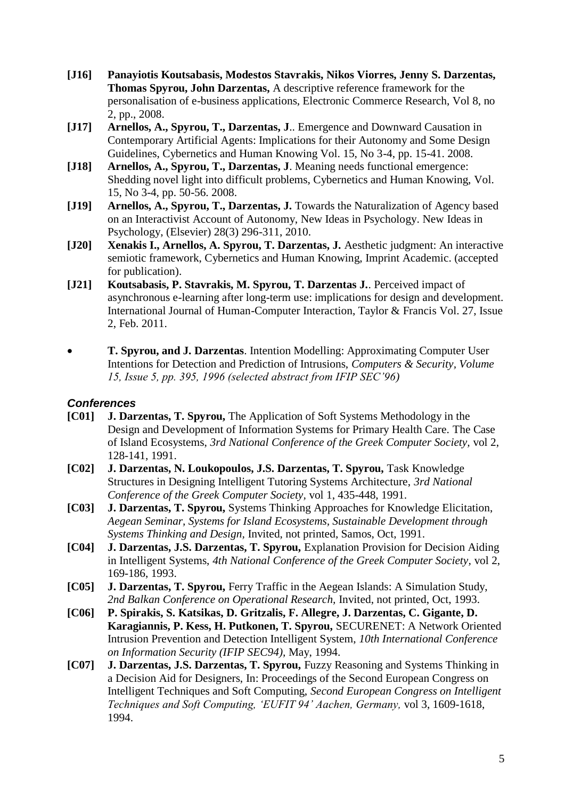- **[J16] Panayiotis Koutsabasis, Modestos Stavrakis, Nikos Viorres, Jenny S. Darzentas, Thomas Spyrou, John Darzentas,** A descriptive reference framework for the personalisation of e-business applications, Electronic Commerce Research, Vol 8, no 2, pp., 2008.
- **[J17] Arnellos, A., Spyrou, T., Darzentas, J**.. Emergence and Downward Causation in Contemporary Artificial Agents: Implications for their Autonomy and Some Design Guidelines, Cybernetics and Human Knowing Vol. 15, No 3-4, pp. 15-41. 2008.
- **[J18] Arnellos, A., Spyrou, T., Darzentas, J**. Meaning needs functional emergence: Shedding novel light into difficult problems, Cybernetics and Human Knowing, Vol. 15, No 3-4, pp. 50-56. 2008.
- **[J19] Arnellos, A., Spyrou, T., Darzentas, J.** Towards the Naturalization of Agency based on an Interactivist Account of Autonomy, New Ideas in Psychology. New Ideas in Psychology, (Elsevier) 28(3) 296-311, 2010.
- **[J20] Xenakis I., Arnellos, A. Spyrou, T. Darzentas, J.** Aesthetic judgment: An interactive semiotic framework, Cybernetics and Human Knowing, Imprint Academic. (accepted for publication).
- **[J21] Koutsabasis, P. Stavrakis, M. Spyrou, T. Darzentas J.**. Perceived impact of asynchronous e-learning after long-term use: implications for design and development. International Journal of Human-Computer Interaction, Taylor & Francis Vol. 27, Issue 2, Feb. 2011.
- **T. Spyrou, and J. Darzentas**. Intention Modelling: Approximating Computer User Intentions for Detection and Prediction of Intrusions, *Computers & Security, Volume 15, Issue 5, pp. 395, 1996 (selected abstract from IFIP SEC'96)*

#### *Conferences*

- **[C01] J. Darzentas, T. Spyrou,** The Application of Soft Systems Methodology in the Design and Development of Information Systems for Primary Health Care. The Case of Island Ecosystems, *3rd National Conference of the Greek Computer Society,* vol 2, 128-141, 1991.
- **[C02] J. Darzentas, N. Loukopoulos, J.S. Darzentas, T. Spyrou,** Task Knowledge Structures in Designing Intelligent Tutoring Systems Architecture, *3rd National Conference of the Greek Computer Society,* vol 1, 435-448, 1991.
- **[C03] J. Darzentas, T. Spyrou,** Systems Thinking Approaches for Knowledge Elicitation, *Aegean Seminar, Systems for Island Ecosystems, Sustainable Development through Systems Thinking and Design,* Invited, not printed, Samos, Oct, 1991.
- **[C04] J. Darzentas, J.S. Darzentas, T. Spyrou,** Explanation Provision for Decision Aiding in Intelligent Systems, *4th National Conference of the Greek Computer Society,* vol 2, 169-186, 1993.
- **[C05] J. Darzentas, T. Spyrou,** Ferry Traffic in the Aegean Islands: A Simulation Study, *2nd Balkan Conference on Operational Research,* Invited, not printed, Oct, 1993.
- **[C06] P. Spirakis, S. Katsikas, D. Gritzalis, F. Allegre, J. Darzentas, C. Gigante, D. Karagiannis, P. Kess, H. Putkonen, T. Spyrou,** SECURENET: A Network Oriented Intrusion Prevention and Detection Intelligent System, *10th International Conference on Information Security (IFIP SEC94),* May, 1994.
- **[C07] J. Darzentas, J.S. Darzentas, T. Spyrou,** Fuzzy Reasoning and Systems Thinking in a Decision Aid for Designers, In: Proceedings of the Second European Congress on Intelligent Techniques and Soft Computing, *Second European Congress on Intelligent Techniques and Soft Computing, 'EUFIT 94' Aachen, Germany,* vol 3, 1609-1618, 1994.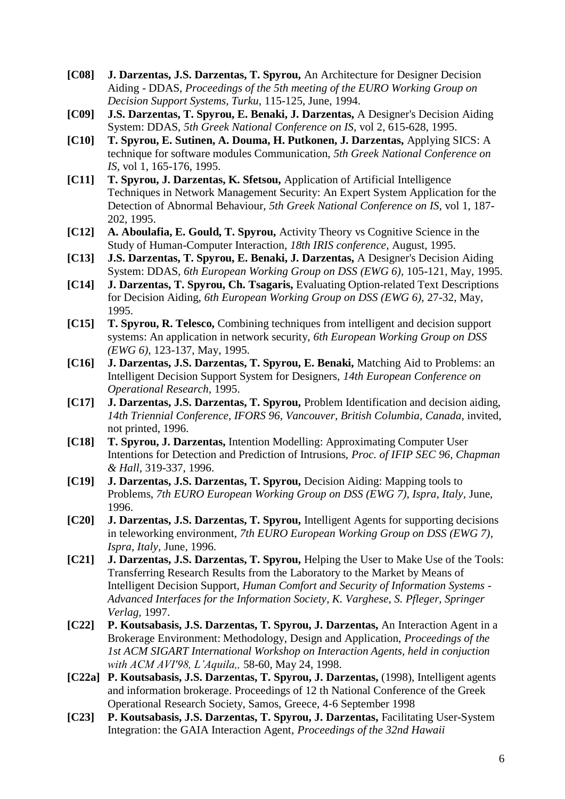- **[C08] J. Darzentas, J.S. Darzentas, T. Spyrou,** An Architecture for Designer Decision Aiding - DDAS, *Proceedings of the 5th meeting of the EURO Working Group on Decision Support Systems, Turku,* 115-125, June, 1994.
- **[C09] J.S. Darzentas, T. Spyrou, E. Benaki, J. Darzentas,** A Designer's Decision Aiding System: DDAS, *5th Greek National Conference on IS,* vol 2, 615-628, 1995.
- **[C10] T. Spyrou, E. Sutinen, A. Douma, H. Putkonen, J. Darzentas,** Applying SICS: A technique for software modules Communication, *5th Greek National Conference on IS,* vol 1, 165-176, 1995.
- **[C11] T. Spyrou, J. Darzentas, K. Sfetsou,** Application of Artificial Intelligence Techniques in Network Management Security: An Expert System Application for the Detection of Abnormal Behaviour, *5th Greek National Conference on IS,* vol 1, 187- 202, 1995.
- **[C12] A. Aboulafia, E. Gould, T. Spyrou,** Activity Theory vs Cognitive Science in the Study of Human-Computer Interaction, *18th IRIS conference,* August, 1995.
- **[C13] J.S. Darzentas, T. Spyrou, E. Benaki, J. Darzentas,** A Designer's Decision Aiding System: DDAS, *6th European Working Group on DSS (EWG 6),* 105-121, May, 1995.
- **[C14] J. Darzentas, T. Spyrou, Ch. Tsagaris,** Evaluating Option-related Text Descriptions for Decision Aiding, *6th European Working Group on DSS (EWG 6),* 27-32, May, 1995.
- **[C15] T. Spyrou, R. Telesco,** Combining techniques from intelligent and decision support systems: An application in network security, *6th European Working Group on DSS (EWG 6),* 123-137, May, 1995.
- **[C16] J. Darzentas, J.S. Darzentas, T. Spyrou, E. Benaki,** Matching Aid to Problems: an Intelligent Decision Support System for Designers, *14th European Conference on Operational Research,* 1995.
- **[C17] J. Darzentas, J.S. Darzentas, T. Spyrou,** Problem Identification and decision aiding, *14th Triennial Conference, IFORS 96, Vancouver, British Columbia, Canada,* invited, not printed, 1996.
- **[C18] T. Spyrou, J. Darzentas,** Intention Modelling: Approximating Computer User Intentions for Detection and Prediction of Intrusions, *Proc. of IFIP SEC 96, Chapman & Hall,* 319-337, 1996.
- **[C19] J. Darzentas, J.S. Darzentas, T. Spyrou,** Decision Aiding: Mapping tools to Problems, *7th EURO European Working Group on DSS (EWG 7), Ispra, Italy,* June, 1996.
- **[C20] J. Darzentas, J.S. Darzentas, T. Spyrou,** Intelligent Agents for supporting decisions in teleworking environment, *7th EURO European Working Group on DSS (EWG 7), Ispra, Italy,* June, 1996.
- **[C21] J. Darzentas, J.S. Darzentas, T. Spyrou,** Helping the User to Make Use of the Tools: Transferring Research Results from the Laboratory to the Market by Means of Intelligent Decision Support, *Human Comfort and Security of Information Systems - Advanced Interfaces for the Information Society, K. Varghese, S. Pfleger, Springer Verlag,* 1997.
- **[C22] P. Koutsabasis, J.S. Darzentas, T. Spyrou, J. Darzentas,** An Interaction Agent in a Brokerage Environment: Methodology, Design and Application, *Proceedings of the 1st ACM SIGART International Workshop on Interaction Agents, held in conjuction with ACM AVI'98, L'Aquila,,* 58-60, May 24, 1998.
- **[C22a] P. Koutsabasis, J.S. Darzentas, T. Spyrou, J. Darzentas,** (1998), Intelligent agents and information brokerage. Proceedings of 12 th National Conference of the Greek Operational Research Society, Samos, Greece, 4‐6 September 1998
- **[C23] P. Koutsabasis, J.S. Darzentas, T. Spyrou, J. Darzentas,** Facilitating User-System Integration: the GAIA Interaction Agent, *Proceedings of the 32nd Hawaii*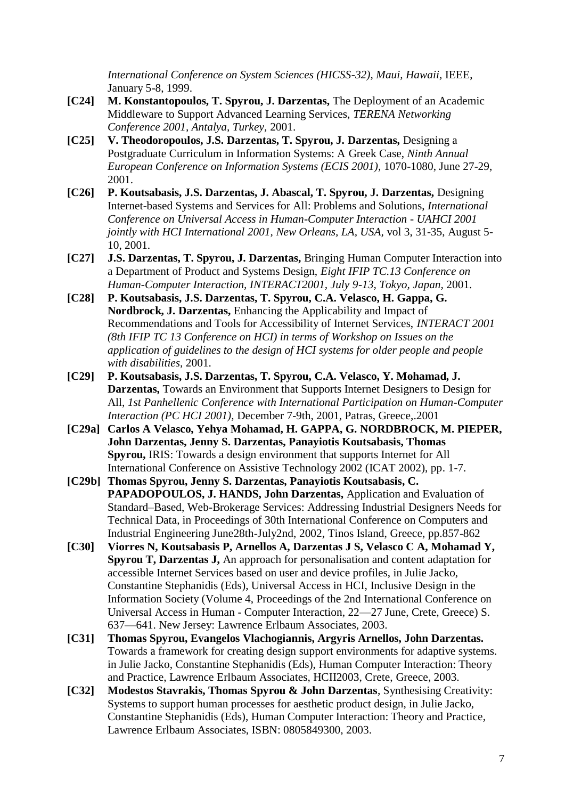*International Conference on System Sciences (HICSS-32), Maui, Hawaii,* IEEE, January 5-8, 1999.

- **[C24] M. Konstantopoulos, T. Spyrou, J. Darzentas,** The Deployment of an Academic Middleware to Support Advanced Learning Services, *TERENA Networking Conference 2001, Antalya, Turkey,* 2001.
- **[C25] V. Theodoropoulos, J.S. Darzentas, T. Spyrou, J. Darzentas,** Designing a Postgraduate Curriculum in Information Systems: A Greek Case, *Ninth Annual European Conference on Information Systems (ECIS 2001), 1070-1080, June 27-29,* 2001.
- **[C26] P. Koutsabasis, J.S. Darzentas, J. Abascal, T. Spyrou, J. Darzentas,** Designing Internet-based Systems and Services for All: Problems and Solutions, *International Conference on Universal Access in Human-Computer Interaction - UAHCI 2001 jointly with HCI International 2001, New Orleans, LA, USA,* vol 3, 31-35, August 5- 10, 2001.
- **[C27] J.S. Darzentas, T. Spyrou, J. Darzentas,** Bringing Human Computer Interaction into a Department of Product and Systems Design, *Eight IFIP TC.13 Conference on Human-Computer Interaction, INTERACT2001, July 9-13, Tokyo, Japan,* 2001.
- **[C28] P. Koutsabasis, J.S. Darzentas, T. Spyrou, C.A. Velasco, H. Gappa, G. Nordbrock, J. Darzentas,** Enhancing the Applicability and Impact of Recommendations and Tools for Accessibility of Internet Services, *INTERACT 2001 (8th IFIP TC 13 Conference on HCI) in terms of Workshop on Issues on the application of guidelines to the design of HCI systems for older people and people with disabilities,* 2001.
- **[C29] P. Koutsabasis, J.S. Darzentas, T. Spyrou, C.A. Velasco, Y. Mohamad, J. Darzentas,** Towards an Environment that Supports Internet Designers to Design for All, *1st Panhellenic Conference with International Participation on Human-Computer Interaction (PC HCI 2001),* December 7-9th, 2001, Patras, Greece,.2001
- **[C29a] Carlos A Velasco, Yehya Mohamad, H. GAPPA, G. NORDBROCK, M. PIEPER, John Darzentas, Jenny S. Darzentas, Panayiotis [Koutsabasis,](http://www.syros.aegean.gr/users/kgp) [Thomas](http://www.syros.aegean.gr/users/tsp)  [Spyrou,](http://www.syros.aegean.gr/users/tsp)** IRIS: Towards a design environment that supports Internet for All International Conference on Assistive Technology 2002 (ICAT 2002), pp. 1-7.
- **[C29b] [Thomas Spyrou,](http://www.syros.aegean.gr/users/tsp) Jenny S. Darzentas, Panayiotis [Koutsabasis,](http://www.syros.aegean.gr/users/kgp) C. PAPADOPOULOS, J. HANDS, John Darzentas,** Application and Evaluation of Standard–Based, Web-Brokerage Services: Addressing Industrial Designers Needs for Technical Data, in Proceedings of 30th International Conference on Computers and Industrial Engineering June28th-July2nd, 2002, Tinos Island, Greece, pp.857-862
- **[C30] Viorres N, Koutsabasis P, Arnellos A, Darzentas J S, Velasco C A, Mohamad Y, Spyrou T, Darzentas J,** An approach for personalisation and content adaptation for accessible Internet Services based on user and device profiles, in Julie Jacko, Constantine Stephanidis (Eds), Universal Access in HCI, Inclusive Design in the Information Society (Volume 4, Proceedings of the 2nd International Conference on Universal Access in Human - Computer Interaction, 22—27 June, Crete, Greece) S. 637—641. New Jersey: Lawrence Erlbaum Associates, 2003.
- **[C31] Thomas Spyrou, Evangelos Vlachogiannis, Argyris Arnellos, John Darzentas.** Towards a framework for creating design support environments for adaptive systems. in Julie Jacko, Constantine Stephanidis (Eds), Human Computer Interaction: Theory and Practice, Lawrence Erlbaum Associates, HCII2003, Crete, Greece, 2003.
- **[C32] Modestos Stavrakis, Thomas Spyrou & John Darzentas**, Synthesising Creativity: Systems to support human processes for aesthetic product design, in Julie Jacko, Constantine Stephanidis (Eds), Human Computer Interaction: Theory and Practice, Lawrence Erlbaum Associates, ISBN: 0805849300, 2003.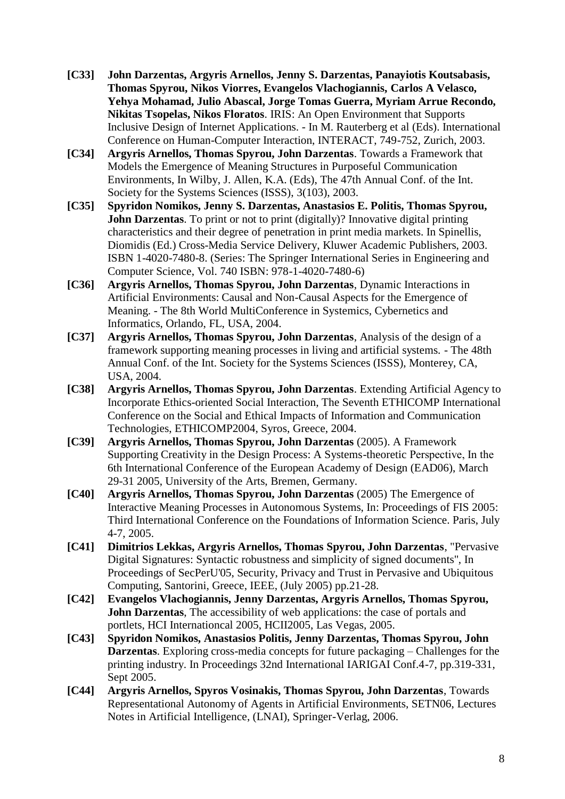- **[C33] John Darzentas, Argyris Arnellos, Jenny S. Darzentas, Panayiotis Koutsabasis, Thomas Spyrou, Nikos Viorres, Evangelos Vlachogiannis, Carlos A Velasco, Yehya Mohamad, Julio Abascal, Jorge Tomas Guerra, Myriam Arrue Recondo, Nikitas Tsopelas, Nikos Floratos**. IRIS: An Open Environment that Supports Inclusive Design of Internet Applications. - In M. Rauterberg et al (Eds). International Conference on Human-Computer Interaction, INTERACT, 749-752, Zurich, 2003.
- **[C34] Argyris Arnellos, Thomas Spyrou, John Darzentas**. Towards a Framework that Models the Emergence of Meaning Structures in Purposeful Communication Environments, In Wilby, J. Allen, K.A. (Eds), The 47th Annual Conf. of the Int. Society for the Systems Sciences (ISSS), 3(103), 2003.
- **[C35] Spyridon Nomikos, Jenny S. Darzentas, Anastasios E. Politis, Thomas Spyrou, John Darzentas**. To print or not to print (digitally)? Innovative digital printing characteristics and their degree of penetration in print media markets. In Spinellis, Diomidis (Ed.) Cross-Media Service Delivery, Kluwer Academic Publishers, 2003. ISBN 1-4020-7480-8. (Series: The Springer International Series in Engineering and Computer Science, Vol. 740 ISBN: 978-1-4020-7480-6)
- **[C36] Argyris Arnellos, Thomas Spyrou, John Darzentas**, Dynamic Interactions in Artificial Environments: Causal and Non-Causal Aspects for the Emergence of Meaning. - The 8th World MultiConference in Systemics, Cybernetics and Informatics, Orlando, FL, USA, 2004.
- **[C37] Argyris Arnellos, Thomas Spyrou, John Darzentas**, Analysis of the design of a framework supporting meaning processes in living and artificial systems. - The 48th Annual Conf. of the Int. Society for the Systems Sciences (ISSS), Monterey, CA, USA, 2004.
- **[C38] Argyris Arnellos, Thomas Spyrou, John Darzentas**. Extending Artificial Agency to Incorporate Ethics-oriented Social Interaction, The Seventh ETHICOMP International Conference on the Social and Ethical Impacts of Information and Communication Technologies, ETHICOMP2004, Syros, Greece, 2004.
- **[C39] Argyris Arnellos, Thomas Spyrou, John Darzentas** (2005). A Framework Supporting Creativity in the Design Process: A Systems-theoretic Perspective, Ιn the 6th International Conference of the European Academy of Design (EAD06), March 29-31 2005, University of the Arts, Bremen, Germany.
- **[C40] Argyris Arnellos, Thomas Spyrou, John Darzentas** (2005) The Emergence of Interactive Meaning Processes in Autonomous Systems, In: Proceedings of FIS 2005: Third International Conference on the Foundations of Information Science. Paris, July 4-7, 2005.
- **[C41] Dimitrios Lekkas, Argyris Arnellos, Thomas Spyrou, John Darzentas**, "Pervasive Digital Signatures: Syntactic robustness and simplicity of signed documents", In Proceedings of SecPerU'05, Security, Privacy and Trust in Pervasive and Ubiquitous Computing, Santorini, Greece, IEEE, (July 2005) pp.21-28.
- **[C42] Evangelos Vlachogiannis, Jenny Darzentas, Argyris Arnellos, Thomas Spyrou, John Darzentas**, The accessibility of web applications: the case of portals and portlets, HCI Internationcal 2005, HCII2005, Las Vegas, 2005.
- **[C43] Spyridon Nomikos, Anastasios Politis, Jenny Darzentas, Thomas Spyrou, John Darzentas**. Exploring cross-media concepts for future packaging – Challenges for the printing industry. In Proceedings 32nd International IARIGAI Conf.4-7, pp.319-331, Sept 2005.
- **[C44] Argyris Arnellos, Spyros Vosinakis, Thomas Spyrou, John Darzentas**, Towards Representational Autonomy of Agents in Artificial Environments, SETN06, Lectures Notes in Artificial Intelligence, (LNAI), Springer-Verlag, 2006.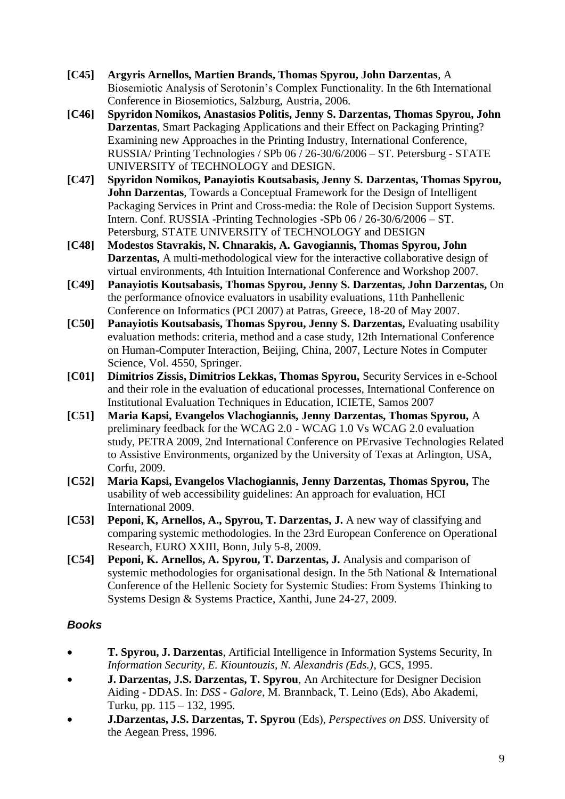- **[C45] Argyris Arnellos, Martien Brands, Thomas Spyrou, John Darzentas**, A Biosemiotic Analysis of Serotonin's Complex Functionality. In the 6th International Conference in Biosemiotics, Salzburg, Austria, 2006.
- **[C46] Spyridon Nomikos, Anastasios Politis, Jenny S. Darzentas, Thomas Spyrou, John Darzentas**, Smart Packaging Applications and their Effect on Packaging Printing? Examining new Approaches in the Printing Industry, International Conference, RUSSIA/ Printing Technologies / SPb 06 / 26-30/6/2006 – ST. Petersburg - STATE UNIVERSITY of TECHNOLOGY and DESIGN.
- **[C47] Spyridon Nomikos, Panayiotis Koutsabasis, Jenny S. Darzentas, Thomas Spyrou, John Darzentas**, Towards a Conceptual Framework for the Design of Intelligent Packaging Services in Print and Cross-media: the Role of Decision Support Systems. Intern. Conf. RUSSIA -Printing Technologies -SPb 06 / 26-30/6/2006 – ST. Petersburg, STATE UNIVERSITY of TECHNOLOGY and DESIGN
- **[C48] Modestos [Stavrakis,](http://www.syros.aegean.gr/users/modestos) N. Chnarakis, A. Gavogiannis, [Thomas Spyrou,](http://www.syros.aegean.gr/users/tsp) John Darzentas,** A multi-methodological view for the interactive collaborative design of virtual environments, 4th Intuition International Conference and Workshop 2007.
- **[C49] Panayiotis [Koutsabasis,](http://www.syros.aegean.gr/users/kgp) [Thomas Spyrou,](http://www.syros.aegean.gr/users/tsp) Jenny S. Darzentas, John Darzentas,** On the performance ofnovice evaluators in usability evaluations, 11th Panhellenic Conference on Informatics (PCI 2007) at Patras, Greece, 18-20 of May 2007.
- **[C50] Panayiotis [Koutsabasis,](http://www.syros.aegean.gr/users/kgp) [Thomas Spyrou,](http://www.syros.aegean.gr/users/tsp) Jenny S. Darzentas,** Evaluating usability evaluation methods: criteria, method and a case study, 12th International Conference on Human-Computer Interaction, Beijing, China, 2007, Lecture Notes in Computer Science, Vol. 4550, Springer.
- **[C01] Dimitrios Zissis, Dimitrios Lekkas, Thomas Spyrou,** Security Services in e-School and their role in the evaluation of educational processes, International Conference on Institutional Evaluation Techniques in Education, ICIETE, Samos 2007
- **[C51] Maria Kapsi, Evangelos Vlachogiannis, Jenny Darzentas, Thomas Spyrou,** A preliminary feedback for the WCAG 2.0 - WCAG 1.0 Vs WCAG 2.0 evaluation study, PETRA 2009, 2nd International Conference on PErvasive Technologies Related to Assistive Environments, organized by the University of Texas at Arlington, USA, Corfu, 2009.
- **[C52] Maria Kapsi, Evangelos Vlachogiannis, Jenny Darzentas, Thomas Spyrou,** The usability of web accessibility guidelines: An approach for evaluation, HCI International 2009.
- **[C53] Peponi, K, Arnellos, A., Spyrou, T. Darzentas, J.** A new way of classifying and comparing systemic methodologies. In the 23rd European Conference on Operational Research, EURO XXIII, Bonn, July 5-8, 2009.
- **[C54] Peponi, K. Arnellos, A. Spyrou, T. Darzentas, J.** Analysis and comparison of systemic methodologies for organisational design. In the 5th National & International Conference of the Hellenic Society for Systemic Studies: From Systems Thinking to Systems Design & Systems Practice, Xanthi, June 24-27, 2009.

### *Books*

- **T. Spyrou, J. Darzentas**, Artificial Intelligence in Information Systems Security, In *Information Security, E. Kiountouzis, N. Alexandris (Eds.)*, GCS, 1995.
- **J. Darzentas, J.S. Darzentas, T. Spyrou**, An Architecture for Designer Decision Aiding - DDAS. In: *DSS - Galore*, M. Brannback, T. Leino (Eds), Abo Akademi, Turku, pp. 115 – 132, 1995.
- **J.Darzentas, J.S. Darzentas, T. Spyrou** (Eds), *Perspectives on DSS*. University of the Aegean Press, 1996.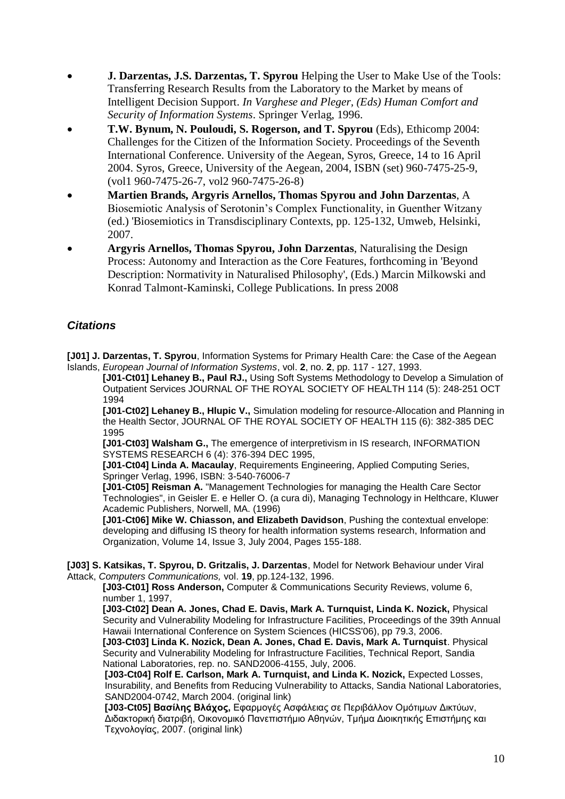- **J. Darzentas, J.S. Darzentas, T. Spyrou** Helping the User to Make Use of the Tools: Transferring Research Results from the Laboratory to the Market by means of Intelligent Decision Support. *In Varghese and Pleger, (Eds) Human Comfort and Security of Information Systems*. Springer Verlag, 1996.
- **T.W. Bynum, N. Pouloudi, S. Rogerson, and T. Spyrou** (Eds), Ethicomp 2004: Challenges for the Citizen of the Information Society. Proceedings of the Seventh International Conference. University of the Aegean, Syros, Greece, 14 to 16 April 2004. Syros, Greece, University of the Aegean, 2004, ISBN (set) 960-7475-25-9, (vol1 960-7475-26-7, vol2 960-7475-26-8)
- **Martien Brands, [Argyris Arnellos,](http://www.syros.aegean.gr/users/arar/) [Thomas Spyrou](http://www.syros.aegean.gr/users/tsp) and John Darzentas**, A Biosemiotic Analysis of Serotonin's Complex Functionality, in Guenther Witzany (ed.) 'Biosemiotics in Transdisciplinary Contexts, pp. 125-132, Umweb, Helsinki, 2007.
- **[Argyris Arnellos,](http://www.syros.aegean.gr/users/arar/) [Thomas Spyrou,](http://www.syros.aegean.gr/users/tsp) John Darzentas**, Naturalising the Design Process: Autonomy and Interaction as the Core Features, forthcoming in 'Beyond Description: Normativity in Naturalised Philosophy', (Eds.) Marcin Milkowski and Konrad Talmont-Kaminski, College Publications. In press 2008

### *Citations*

**[J01] J. Darzentas, T. Spyrou**, Information Systems for Primary Health Care: the Case of the Aegean Islands, *European Journal of Information Systems*, vol. **2**, no. **2**, pp. 117 - 127, 1993.

**[J01-Ct01] Lehaney B., Paul RJ.,** Using Soft Systems Methodology to Develop a Simulation of Outpatient Services JOURNAL OF THE ROYAL SOCIETY OF HEALTH 114 (5): 248-251 OCT 1994

**[J01-Ct02] Lehaney B., Hlupic V.,** Simulation modeling for resource-Allocation and Planning in the Health Sector, JOURNAL OF THE ROYAL SOCIETY OF HEALTH 115 (6): 382-385 DEC 1995

**[J01-Ct03] Walsham G.,** The emergence of interpretivism in IS research, INFORMATION SYSTEMS RESEARCH 6 (4): 376-394 DEC 1995,

**[J01-Ct04] Linda A. Macaulay**, Requirements Engineering, Applied Computing Series, Springer Verlag, 1996, ISBN: 3-540-76006-7

**[J01-Ct05] Reisman A.** "Management Technologies for managing the Health Care Sector Technologies", in Geisler E. e Heller O. (a cura di), Managing Technology in Helthcare, Kluwer Academic Publishers, Norwell, MA. (1996)

**[J01-Ct06] Mike W. Chiasson, and Elizabeth Davidson**, Pushing the contextual envelope: developing and diffusing IS theory for health information systems research, Information and Organization, Volume 14, Issue 3, July 2004, Pages 155-188.

**[J03] S. Katsikas, T. Spyrou, D. Gritzalis, J. Darzentas**, Model for Network Behaviour under Viral Attack, *Computers Communications,* vol. **19**, pp.124-132, 1996.

**[J03-Ct01] Ross Anderson,** Computer & Communications Security Reviews, volume 6, number 1, 1997,

**[J03-Ct02] Dean A. Jones, Chad E. Davis, Mark A. Turnquist, Linda K. Nozick,** Physical Security and Vulnerability Modeling for Infrastructure Facilities, Proceedings of the 39th Annual Hawaii International Conference on System Sciences (HICSS'06), pp 79.3, 2006.

**[J03-Ct03] Linda K. Nozick, Dean A. Jones, Chad E. Davis, Mark A. Turnquist**. Physical Security and Vulnerability Modeling for Infrastructure Facilities, Technical Report, Sandia National Laboratories, rep. no. SAND2006-4155, July, 2006.

**[J03-Ct04] Rolf E. Carlson, Mark A. Turnquist, and Linda K. Nozick,** Expected Losses, Insurability, and Benefits from Reducing Vulnerability to Attacks, Sandia National Laboratories, SAND2004-0742, March 2004. [\(original link\)](http://www.prod.sandia.gov/cgi-bin/techlib/access-control.pl/2004/040742.pdf)

**[J03-Ct05] Βασίλης Βλάχος,** Εθαρμογές Αζθάλειας ζε Περιβάλλον Ομόηιμων Δικηύων, Διδακτορική διατριβή, Οικονομικό Πανεπιστήμιο Αθηνών, Τμήμα Διοικητικής Επιστήμης και Τεχνολογίας, 2007. [\(original link\)](http://http/istlab.dmst.aueb.gr/~vbill/objects/PhdThesis.pdf)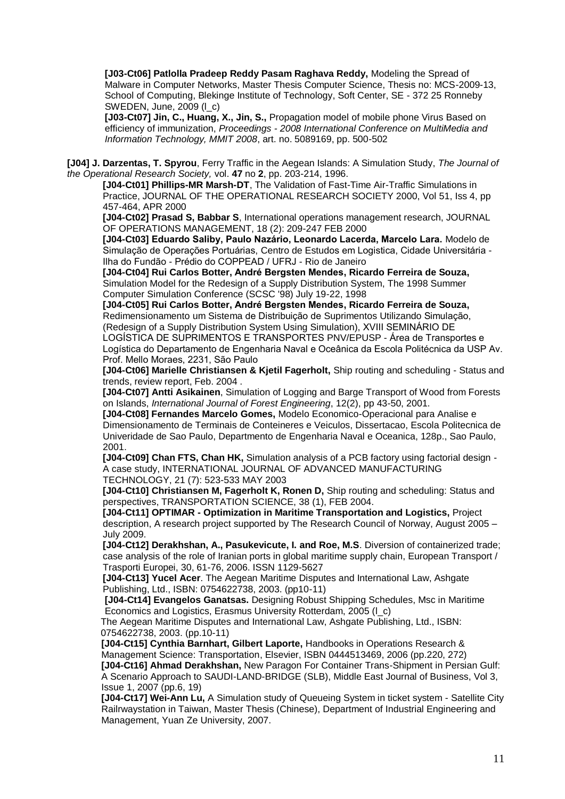**[J03-Ct06] Patlolla Pradeep Reddy Pasam Raghava Reddy,** Modeling the Spread of Malware in Computer Networks, Master Thesis Computer Science, Thesis no: MCS-2009-13, School of Computing, Blekinge Institute of Technology, Soft Center, SE - 372 25 Ronneby SWEDEN, June, 2009 [\(l\\_c\)](http://www.syros.aegean.gr/users/tsp/citations_dnl/modeling_the_spread_of_malware_in_computer_networks.pdf)

**[J03-Ct07] Jin, C., Huang, X., Jin, S.,** Propagation model of mobile phone Virus Based on efficiency of immunization, *Proceedings - 2008 International Conference on MultiMedia and Information Technology, MMIT 2008*, art. no. 5089169, pp. 500-502

**[J04] J. Darzentas, T. Spyrou**, Ferry Traffic in the Aegean Islands: A Simulation Study, *The Journal of the Operational Research Society,* vol. **47** no **2**, pp. 203-214, 1996.

**[J04-Ct01] Phillips-MR Marsh-DT**, The Validation of Fast-Time Air-Traffic Simulations in Practice, JOURNAL OF THE OPERATIONAL RESEARCH SOCIETY 2000, Vol 51, Iss 4, pp 457-464, APR 2000

**[J04-Ct02] Prasad S, Babbar S**, International operations management research, JOURNAL OF OPERATIONS MANAGEMENT, 18 (2): 209-247 FEB 2000

**[J04-Ct03] Eduardo Saliby, Paulo Nazário, Leonardo Lacerda, Marcelo Lara.** Modelo de Simulação de Operações Portuárias, Centro de Estudos em Logistica, Cidade Universitária - Ilha do Fundão - Prédio do COPPEAD / UFRJ - Rio de Janeiro

**[J04-Ct04] Rui Carlos Botter, André Bergsten Mendes, Ricardo Ferreira de Souza,** Simulation Model for the Redesign of a Supply Distribution System, The 1998 Summer Computer Simulation Conference (SCSC '98) July 19-22, 1998

**[J04-Ct05] Rui Carlos Botter, André Bergsten Mendes, Ricardo Ferreira de Souza,** Redimensionamento um Sistema de Distribuição de Suprimentos Utilizando Simulação, (Redesign of a Supply Distribution System Using Simulation), XVIII SEMINÁRIO DE

LOGÍSTICA DE SUPRIMENTOS E TRANSPORTES PNV/EPUSP - Área de Transportes e Logìstica do Departamento de Engenharia Naval e Oceânica da Escola Politécnica da USP Av. Prof. Mello Moraes, 2231, São Paulo

**[J04-Ct06] Marielle Christiansen & Kjetil Fagerholt,** Ship routing and scheduling - Status and trends, review report, Feb. 2004 .

**[J04-Ct07] Antti Asikainen**, Simulation of Logging and Barge Transport of Wood from Forests on Islands, *International Journal of Forest Engineering*, 12(2), pp 43-50, 2001.

**[J04-Ct08] Fernandes Marcelo Gomes,** Modelo Economico-Operacional para Analise e Dimensionamento de Terminais de Conteineres e Veiculos, Dissertacao, Escola Politecnica de Univeridade de Sao Paulo, Departmento de Engenharia Naval e Oceanica, 128p., Sao Paulo, 2001.

**[J04-Ct09] Chan FTS, Chan HK,** Simulation analysis of a PCB factory using factorial design - A case study, INTERNATIONAL JOURNAL OF ADVANCED MANUFACTURING TECHNOLOGY, 21 (7): 523-533 MAY 2003

**[J04-Ct10] Christiansen M, Fagerholt K, Ronen D,** Ship routing and scheduling: Status and perspectives, TRANSPORTATION SCIENCE, 38 (1), FEB 2004.

**[J04-Ct11] OPTIMAR - Optimization in Maritime Transportation and Logistics,** Project description, A research project supported by The Research Council of Norway, August 2005 – July 2009.

**[J04-Ct12] Derakhshan, A., Pasukevicute, I. and Roe, M.S**. Diversion of containerized trade; case analysis of the role of Iranian ports in global maritime supply chain, European Transport / Trasporti Europei, 30, 61-76, 2006. ISSN 1129-5627

**[J04-Ct13] Yucel Acer**. The Aegean Maritime Disputes and International Law, Ashgate Publishing, Ltd., ISBN: 0754622738, 2003. (pp10-11)

**[J04-Ct14] Evangelos Ganatsas.** Designing Robust Shipping Schedules, Msc in Maritime Economics and Logistics, Erasmus University Rotterdam, 2005 [\(l\\_c\)](http://www.syros.aegean.gr/users/tsp/citations_dnl/Thesis_GkanatsasE.pdf)

The Aegean Maritime Disputes and International Law, Ashgate Publishing, Ltd., ISBN: 0754622738, 2003. (pp.10-11)

**[J04-Ct15] Cynthia Barnhart, Gilbert Laporte,** [Handbooks in Operations Research &](http://books.elsevier.com/uk/elsevier/uk/subindex.asp?maintarget=&isbn=9780444513465&country=United+Kingdom&srccode=&ref=goog&subcode=&head=&pdf=&basiccode=&txtSearch=&SearchField=&operator=&order=&community=elsevier)  [Management Science: Transportation,](http://books.elsevier.com/uk/elsevier/uk/subindex.asp?maintarget=&isbn=9780444513465&country=United+Kingdom&srccode=&ref=goog&subcode=&head=&pdf=&basiccode=&txtSearch=&SearchField=&operator=&order=&community=elsevier) Elsevier, ISBN 0444513469, 2006 (pp.220, 272) **[J04-Ct16] Ahmad Derakhshan,** [New Paragon For Container Trans-Shipment in Persian Gulf:](http://www.mejb.com/upgrade_flash/Vol3_Issue1/MEJB_Vol3_Iss1.pdf)  [A Scenario Approach to SAUDI-LAND-BRIDGE \(SLB\),](http://www.mejb.com/upgrade_flash/Vol3_Issue1/MEJB_Vol3_Iss1.pdf) Middle East Journal of Business, Vol 3, Issue 1, 2007 (pp.6, 19)

**[J04-Ct17] Wei-Ann Lu,** [A Simulation study of Queueing System in ticket system -](http://etds.yzu.edu.tw/etdservice/view_metadata?etdun=U0009-0307200720495000&query_field1=keyword&&query_word1=Q&) Satellite City [Railrwaystation in Taiwan,](http://etds.yzu.edu.tw/etdservice/view_metadata?etdun=U0009-0307200720495000&query_field1=keyword&&query_word1=Q&) Master Thesis (Chinese), Department of Industrial Engineering and Management, Yuan Ze University, 2007.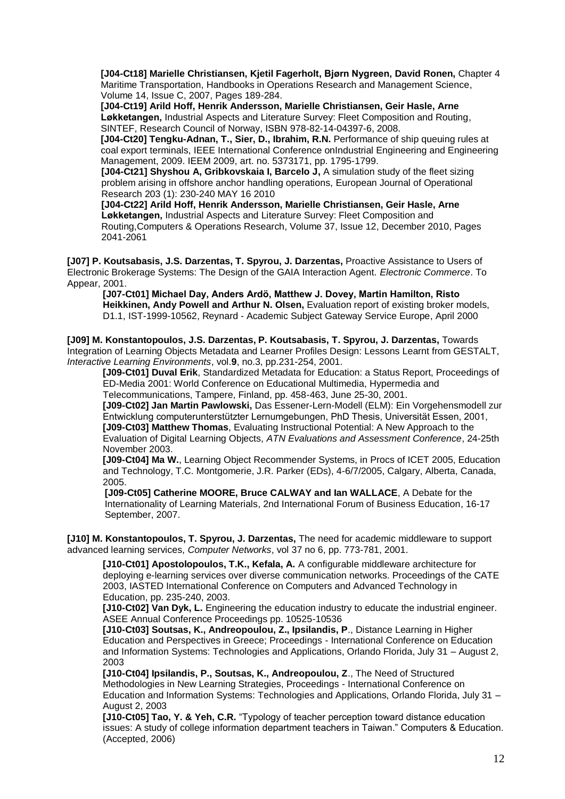**[J04-Ct18] [Marielle Christiansen,](http://www.scopus.com/authid/detail.url?authorId=7102525274) [Kjetil Fagerholt,](http://www.scopus.com/authid/detail.url?authorId=6602817901) [Bjørn Nygreen,](http://www.scopus.com/authid/detail.url?authorId=6602854237) [David Ronen,](http://www.scopus.com/authid/detail.url?authorId=7005921064)** Chapter 4 Maritime Transportation, [Handbooks in Operations Research and Management Science,](http://www.scopus.com/source/sourceInfo.url?sourceId=19700169405&origin=recordpage) Volume 14, Issue C, 2007, Pages 189-284.

**[J04-Ct19] Arild Hoff, Henrik Andersson, Marielle Christiansen, Geir Hasle, Arne Løkketangen,** [Industrial Aspects and Literature Survey: Fleet Composition and Routing,](http://cired.no/upload/IKT/9011/Optimering/FleetDimensioningReport.pdf) SINTEF, Research Council of Norway, ISBN 978-82-14-04397-6, 2008.

**[J04-Ct20] [Tengku-Adnan, T.,](http://www.scopus.com/authid/detail.url?origin=resultslist&authorId=35749057700) [Sier, D.,](http://www.scopus.com/authid/detail.url?origin=resultslist&authorId=8763004400) [Ibrahim, R.N.](http://www.scopus.com/authid/detail.url?origin=resultslist&authorId=35748905100)** [Performance of ship queuing rules at](http://www.scopus.com/record/display.url?eid=2-s2.0-77949512930&origin=resultslist&sort=plf-f&cite=2-s2.0-0030081116&src=s&imp=t&sid=BWARMXBKdXoIo1edQ1w2Pzl%3a30&sot=cite&sdt=a&sl=0&relpos=2&relpos=2)  [coal export terminals,](http://www.scopus.com/record/display.url?eid=2-s2.0-77949512930&origin=resultslist&sort=plf-f&cite=2-s2.0-0030081116&src=s&imp=t&sid=BWARMXBKdXoIo1edQ1w2Pzl%3a30&sot=cite&sdt=a&sl=0&relpos=2&relpos=2) [IEEE International Conference onIndustrial Engineering and Engineering](http://ieeexplore.ieee.org/xpl/mostRecentIssue.jsp?punumber=5356752)  [Management, 2009. IEEM 2009,](http://ieeexplore.ieee.org/xpl/mostRecentIssue.jsp?punumber=5356752) art. no. 5373171, pp. 1795-1799.

**[J04-Ct21] Shyshou A, Gribkovskaia I, Barcelo J,** A simulation study of the fleet sizing problem arising in offshore anchor handling operations, European Journal of Operational Research 203 (1): 230-240 MAY 16 2010

**[J04-Ct22] Arild Hoff, Henrik Andersson, Marielle Christiansen, Geir Hasle, Arne Løkketangen,** Industrial Aspects and Literature Survey: Fleet Composition and Routing[,Computers & Operations Research,](http://www.sciencedirect.com/science/journal/03050548) [Volume 37, Issue 12,](http://www.sciencedirect.com/science?_ob=PublicationURL&_tockey=%23TOC%235945%232010%23999629987%232001774%23FLA%23&_cdi=5945&_pubType=J&view=c&_auth=y&_acct=C000050221&_version=1&_urlVersion=0&_userid=10&md5=cc1236f8a0520233c6a5d649f8fb3161) December 2010, Pages 2041-2061

**[J07] P. Koutsabasis, J.S. Darzentas, T. Spyrou, J. Darzentas,** Proactive Assistance to Users of Electronic Brokerage Systems: The Design of the GAIA Interaction Agent. *Electronic Commerce*. To Appear, 2001.

**[J07-Ct01] Michael Day, Anders Ardö, Matthew J. Dovey, Martin Hamilton, Risto Heikkinen, Andy Powell and Arthur N. Olsen,** Evaluation report of existing broker models, D1.1, IST-1999-10562, Reynard - Academic Subject Gateway Service Europe, April 2000

**[J09] M. Konstantopoulos, J.S. Darzentas, P. Koutsabasis, T. Spyrou, J. Darzentas,** Towards Integration of Learning Objects Metadata and Learner Profiles Design: Lessons Learnt from GESTALT, *Interactive Learning Environments*, vol.**9**, no.3, pp.231-254, 2001.

**[J09-Ct01] Duval Erik**, Standardized Metadata for Education: a Status Report, Proceedings of ED-Media 2001: World Conference on Educational Multimedia, Hypermedia and Telecommunications, Tampere, Finland, pp. 458-463, June 25-30, 2001.

**[J09-Ct02] Jan Martin Pawlowski,** Das Essener-Lern-Modell (ELM): Ein Vorgehensmodell zur Entwicklung computerunterstützter Lernumgebungen, PhD Thesis, Universität Essen, 2001, **[J09-Ct03] Matthew Thomas**, Evaluating Instructional Potential: A New Approach to the Evaluation of Digital Learning Objects, *ATN Evaluations and Assessment Conference*, 24-25th November 2003.

**[J09-Ct04] Ma W.**, Learning Object Recommender Systems, in Procs of ICET 2005, Education and Technology, T.C. Montgomerie, J.R. Parker (EDs), 4-6/7/2005, Calgary, Alberta, Canada, 2005.

**[J09-Ct05] Catherine MOORE, Bruce CALWAY and Ian WALLACE**, [A Debate for the](http://www.lilydale.swinburne.edu.au/forum/documents/2007/C_Moore.pdf)  [Internationality of Learning Materials,](http://www.lilydale.swinburne.edu.au/forum/documents/2007/C_Moore.pdf) [2nd International Forum of Business Education,](http://www.lilydale.swinburne.edu.au/forum/welcome.htm) 16-17 September, 2007.

**[J10] M. Konstantopoulos, T. Spyrou, J. Darzentas,** The need for academic middleware to support advanced learning services, *Computer Networks*, vol 37 no 6, pp. 773-781, 2001.

**[J10-Ct01] Apostolopoulos, T.K., Kefala, A.** A configurable middleware architecture for deploying e-learning services over diverse communication networks. Proceedings of the CATE 2003, IASTED International Conference on Computers and Advanced Technology in Education, pp. 235-240, 2003.

**[J10-Ct02] Van Dyk, L.** Engineering the education industry to educate the industrial engineer. ASEE Annual Conference Proceedings pp. 10525-10536

**[J10-Ct03] Soutsas, K., Andreopoulou, Z., Ipsilandis, P**., Distance Learning in Higher Education and Perspectives in Greece; Proceedings - International Conference on Education and Information Systems: Technologies and Applications, Orlando Florida, July 31 – August 2, 2003

**[J10-Ct04] Ipsilandis, P., Soutsas, K., Andreopoulou, Z**., The Need of Structured Methodologies in New Learning Strategies, Proceedings - International Conference on Education and Information Systems: Technologies and Applications, Orlando Florida, July 31 – August 2, 2003

**[J10-Ct05] Tao, Y. & Yeh, C.R.** "Typology of teacher perception toward distance education issues: A study of college information department teachers in Taiwan." Computers & Education. (Accepted, 2006)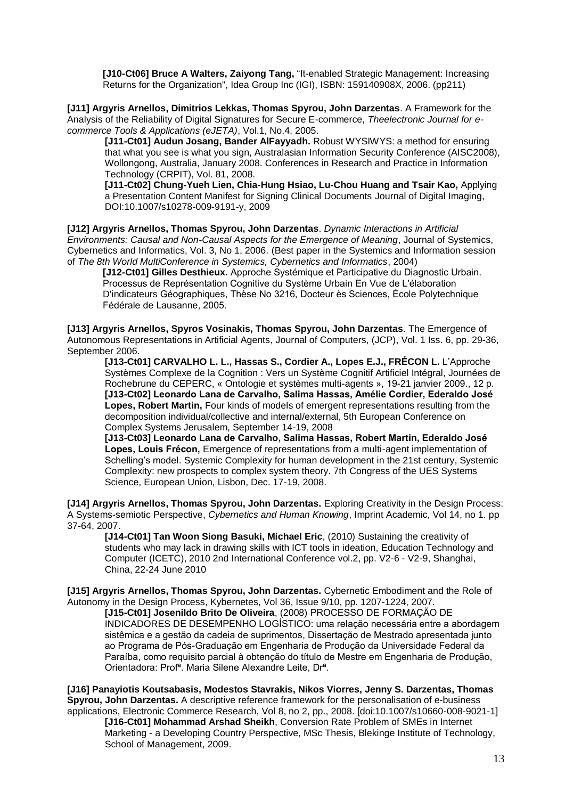**[J10-Ct06] Bruce A Walters, Zaiyong Tang,** "It-enabled Strategic Management: Increasing Returns for the Organization", Idea Group Inc (IGI), ISBN: 159140908X, 2006. (pp211)

**[J11] [Argyris Arnellos,](http://www.syros.aegean.gr/users/arar/) [Dimitrios Lekkas,](http://www.syros.aegean.gr/users/lekkas/) [Thomas Spyrou,](http://www.syros.aegean.gr/users/tsp) John Darzentas**. A Framework for the Analysis of the Reliability of Digital Signatures for Secure E-commerce, *[Theelectronic Journal for e](http://minbar.cs.dartmouth.edu/greecom/ejeta/)[commerce Tools & Applications \(eJETA\)](http://minbar.cs.dartmouth.edu/greecom/ejeta/)*, Vol.1, No.4, 2005.

**[J11-Ct01] Audun Josang, Bander AlFayyadh.** Robust WYSIWYS: a method for ensuring that what you see is what you sign, Australasian Information Security Conference (AISC2008), Wollongong, Australia, January 2008. Conferences in Research and Practice in Information Technology (CRPIT), Vol. 81, 2008.

**[J11-Ct02] Chung-Yueh Lien, Chia-Hung Hsiao, Lu-Chou Huang and Tsair Kao,** Applying a Presentation Content Manifest for Signing Clinical Documents Journal of Digital Imaging, DOI:10.1007/s10278-009-9191-y, 2009

**[J12] Argyris Arnellos, Thomas Spyrou, John Darzentas**. *Dynamic Interactions in Artificial Environments: Causal and Non-Causal Aspects for the Emergence of Meaning*, Journal of Systemics, Cybernetics and Informatics, Vol. 3, No 1, 2006. (Best paper in the Systemics and Information session of *The 8th World MultiConference in Systemics, Cybernetics and Informatics*, 2004)

**[J12-Ct01] Gilles Desthieux.** Approche Systémique et Participative du Diagnostic Urbain. Processus de Représentation Cognitive du Système Urbain En Vue de L'élaboration D'indicateurs Géographiques, Thèse No 3216, Docteur ès Sciences, École Polytechnique Fédérale de Lausanne, 2005.

**[J13] [Argyris Arnellos,](http://www.syros.aegean.gr/users/arar/) [Spyros Vosinakis,](http://www.syros.aegean.gr/users/spyrosv/) [Thomas Spyrou,](http://www.syros.aegean.gr/users/tsp) John Darzentas**. [The Emergence of](http://www.syros.aegean.gr/users/tsp/journ_pub/J13/J13.pdf)  [Autonomous Representations in Artificial Agents,](http://www.syros.aegean.gr/users/tsp/journ_pub/J13/J13.pdf) [Journal of Computers, \(JCP\),](http://academypublisher.com/jcp/index.html) [Vol. 1 Iss. 6,](http://academypublisher.com/jcp/vol01/no06/index.html) pp. 29-36, September 2006.

**[J13-Ct01] CARVALHO L. L., Hassas S., Cordier A., Lopes E.J., FRÉCON L.** L"Approche Systèmes Complexe de la Cognition : Vers un Système Cognitif Artificiel Intégral, Journées de Rochebrune du CEPERC, « Ontologie et systèmes multi-agents », 19-21 janvier 2009., 12 p. **[J13-Ct02] Leonardo Lana de Carvalho, Salima Hassas, Amélie Cordier, Ederaldo José Lopes, Robert Martin,** Four kinds of models of emergent representations resulting from the decomposition individual/collective and internal/external, 5th European Conference on Complex Systems Jerusalem, September 14-19, 2008

**[J13-Ct03] Leonardo Lana de Carvalho, Salima Hassas, Robert Martin, Ederaldo José Lopes, Louis Frécon,** [Emergence of representations from a multi-agent implementation of](http://www.afscet.asso.fr/resSystemica/Lisboa08/carvalho.pdf)  [Schelling"s model.](http://www.afscet.asso.fr/resSystemica/Lisboa08/carvalho.pdf) Systemic Complexity for human development in the 21st century, Systemic Complexity: new prospects to complex system theory. 7th Congress of the UES Systems Science, European Union, Lisbon, Dec. 17-19, 2008.

**[J14] [Argyris Arnellos,](http://www.syros.aegean.gr/users/arar/) [Thomas Spyrou,](http://www.syros.aegean.gr/users/tsp) John Darzentas.** [Exploring Creativity in the Design Process:](http://www.ingentaconnect.com/content/imp/chk/2007/00000014/00000001/art00003)  [A Systems-semiotic Perspective,](http://www.ingentaconnect.com/content/imp/chk/2007/00000014/00000001/art00003) *[Cybernetics and Human Knowing](http://www.imprint.co.uk/)*, [Imprint Academic, Vol 14, no 1.](http://www.ingentaconnect.com/content/imp/chk/2007/00000014/00000001) pp 37-64, 2007.

**[J14-Ct01] Tan Woon Siong Basuki, Michael Eric**, (2010) [Sustaining the creativity of](http://www.ct.ufpb.br/complexidade/downloads/Dissertacao_Josenildo.pdf)  [students who may lack in drawing skills with ICT tools in ideation,](http://www.ct.ufpb.br/complexidade/downloads/Dissertacao_Josenildo.pdf) [Education Technology and](http://www.ct.ufpb.br/complexidade/downloads/Dissertacao_Josenildo.pdf)  Computer (ICETC), 2010 2nd International Conference vol.2, pp. V2-6 - V2-9, Shanghai, China, 22-24 June 2010

**[J15] [Argyris Arnellos,](http://www.syros.aegean.gr/users/arar/) [Thomas Spyrou,](http://www.syros.aegean.gr/users/tsp) John Darzentas.** [Cybernetic Embodiment and the Role of](http://www.emeraldinsight.com/Insight/ViewContentServlet?Filename=Published/EmeraldFullTextArticle/Articles/0670360903.html)  [Autonomy in the Design Process,](http://www.emeraldinsight.com/Insight/ViewContentServlet?Filename=Published/EmeraldFullTextArticle/Articles/0670360903.html) [Kybernetes,](http://www.emeraldinsight.com/Insight/viewContainer.do?containerType=Journal&containerId=357) [Vol 36, Issue 9/10,](http://www.emeraldinsight.com/Insight/viewContainer.do;jsessionid=8D2E9F07A9126CD0FE7AE6440B819EEA?containerType=Issue&containerId=25727) pp. 1207-1224, 2007.

**[J15-Ct01] Josenildo Brito De Oliveira**, (2008) [PROCESSO DE FORMAÇÃO DE](http://www.ct.ufpb.br/complexidade/downloads/Dissertacao_Josenildo.pdf)  [INDICADORES DE DESEMPENHO LOGÍSTICO: uma relação necessária entre a abordagem](http://www.ct.ufpb.br/complexidade/downloads/Dissertacao_Josenildo.pdf)  [sistêmica e a gestão da cadeia de suprimentos,](http://www.ct.ufpb.br/complexidade/downloads/Dissertacao_Josenildo.pdf) Dissertação de Mestrado apresentada junto ao Programa de Pós-Graduação em Engenharia de Produção da Universidade Federal da Paraíba, como requisito parcial à obtenção do título de Mestre em Engenharia de Produção, Orientadora: Profª. Maria Silene Alexandre Leite, Drª.

**[J16] Panayiotis Koutsabasis, Modestos Stavrakis, Nikos Viorres, Jenny S. Darzentas, Thomas Spyrou, John Darzentas.** A descriptive reference framework for the personalisation of e-business applications, Electronic Commerce Research, Vol 8, no 2, pp., 2008. [doi:10.1007/s10660-008-9021-1]

**[J16-Ct01] Mohammad Arshad Sheikh**, Conversion Rate Problem of SMEs in Internet Marketing - a Developing Country Perspective, MSc Thesis, Blekinge Institute of Technology, School of Management, 2009.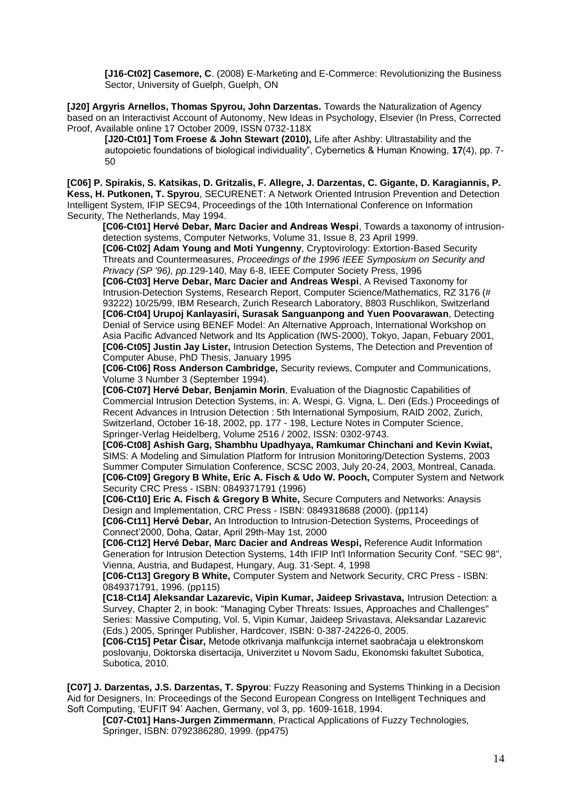**[J16-Ct02] Casemore, C**. (2008) E‐Marketing and E‐Commerce: Revolutionizing the Business Sector, University of Guelph, Guelph, ON

**[J20] [Argyris Arnellos,](http://www.syros.aegean.gr/users/arar/) [Thomas Spyrou,](http://www.syros.aegean.gr/users/tsp) John Darzentas.** [Towards the Naturalization of Agency](http://www.sciencedirect.com/science/article/B6VD4-4XG908F-1/2/00c4a8b809376f7e0aa271019d60b328)  [based on an Interactivist Account of Autonomy,](http://www.sciencedirect.com/science/article/B6VD4-4XG908F-1/2/00c4a8b809376f7e0aa271019d60b328) [New Ideas in Psychology,](http://www.sciencedirect.com/science/journal/0732118X) Elsevier (In Press, Corrected Proof, Available online 17 October 2009, ISSN 0732-118X

**[J20-Ct01] [Tom Froese](http://froese.wordpress.com/publications/) & John Stewart (2010),** Life after Ashby: Ultrastability and the autopoietic foundations of biological individuality", Cybernetics & Human Knowing, **17**(4), pp. 7- 50

**[C06] P. Spirakis, S. Katsikas, D. Gritzalis, F. Allegre, J. Darzentas, C. Gigante, D. Karagiannis, P. Kess, H. Putkonen, T. Spyrou**, SECURENET: A Network Oriented Intrusion Prevention and Detection Intelligent System, IFIP SEC94, Proceedings of the 10th International Conference on Information Security, The Netherlands, May 1994.

**[C06-Ct01] Hervé Debar, Marc Dacier and Andreas Wespi**, Towards a taxonomy of intrusiondetection systems, Computer Networks, Volume 31, Issue 8, 23 April 1999.

**[C06-Ct02] Adam Young and Moti Yungenny**, Cryptovirology: Extortion-Based Security Threats and Countermeasures, *Proceedings of the 1996 IEEE Symposium on Security and Privacy (SP '96), pp.1*29-140, May 6-8, IEEE Computer Society Press, 1996

**[C06-Ct03] Herve Debar, Marc Dacier and Andreas Wespi**, A Revised Taxonomy for Intrusion-Detection Systems, Research Report, Computer Science/Mathematics, RZ 3176 (# 93222) 10/25/99, IBM Research, Zurich Research Laboratory, 8803 Ruschlikon, Switzerland **[C06-Ct04] Urupoj Kanlayasiri, Surasak Sanguanpong and Yuen Poovarawan**, Detecting Denial of Service using BENEF Model: An Alternative Approach, International Workshop on Asia Pacific Advanced Network and Its Application (IWS-2000), Tokyo, Japan, Febuary 2001, **[C06-Ct05] Justin Jay Lister,** Intrusion Detection Systems, The Detection and Prevention of Computer Abuse, PhD Thesis, January 1995

**[C06-Ct06] Ross Anderson Cambridge,** Security reviews, Computer and Communications, Volume 3 Number 3 (September 1994).

**[C06-Ct07] Hervé Debar, Benjamin Morin**, Evaluation of the Diagnostic Capabilities of Commercial Intrusion Detection Systems, in: A. Wespi, G. Vigna, L. Deri (Eds.) Proceedings of Recent Advances in Intrusion Detection : 5th International Symposium, RAID 2002, Zurich, Switzerland, October 16-18, 2002, pp. 177 - 198, Lecture Notes in Computer Science, Springer-Verlag Heidelberg, Volume 2516 / 2002, ISSN: 0302-9743.

**[C06-Ct08] Ashish Garg, Shambhu Upadhyaya, Ramkumar Chinchani and Kevin Kwiat,** SIMS: A Modeling and Simulation Platform for Intrusion Monitoring/Detection Systems, 2003 Summer Computer Simulation Conference, SCSC 2003, July 20-24, 2003, Montreal, Canada. **[C06-Ct09] Gregory B White, Eric A. Fisch & Udo W. Pooch,** Computer System and Network Security CRC Press - ISBN: 0849371791 (1996)

**[C06-Ct10] Eric A. Fisch & Gregory B White,** Secure Computers and Networks: Anaysis Design and Implementation, CRC Press - ISBN: 0849318688 (2000). (pp114)

**[C06-Ct11] Hervé Debar,** An Introduction to Intrusion-Detection Systems, Proceedings of Connect"2000, Doha, Qatar, April 29th-May 1st, 2000

**[C06-Ct12] Hervé Debar, Marc Dacier and Andreas Wespi,** Reference Audit Information Generation for Intrusion Detection Systems, 14th IFIP Int'l Information Security Conf. "SEC 98", Vienna, Austria, and Budapest, Hungary, Aug. 31-Sept. 4, 1998

**[C06-Ct13] Gregory B White,** Computer System and Network Security, CRC Press - ISBN: 0849371791, 1996. (pp115)

**[C18-Ct14] Aleksandar Lazarevic, Vipin Kumar, Jaideep Srivastava,** Intrusion Detection: a Survey, Chapter 2, in book: "Managing Cyber Threats: Issues, Approaches and Challenges" Series: Massive Computing, Vol. 5, Vipin Kumar, Jaideep Srivastava, Aleksandar Lazarevic (Eds.) 2005, Springer Publisher, Hardcover, ISBN: 0-387-24226-0, 2005.

**[C06-Ct15] Petar Čisar,** Metode otkrivanja malfunkcija internet saobraćaja u elektronskom poslovanju, Doktorska disertacija, Univerzitet u Novom Sadu, Ekonomski fakultet Subotica, Subotica, 2010.

**[C07] J. Darzentas, J.S. Darzentas, T. Spyrou**: Fuzzy Reasoning and Systems Thinking in a Decision Aid for Designers, In: Proceedings of the Second European Congress on Intelligent Techniques and Soft Computing, "EUFIT 94" Aachen, Germany, vol 3, pp. 1609-1618, 1994.

**[C07-Ct01] Hans-Jurgen Zimmermann**, Practical Applications of Fuzzy Technologies, Springer, ISBN: 0792386280, 1999. (pp475)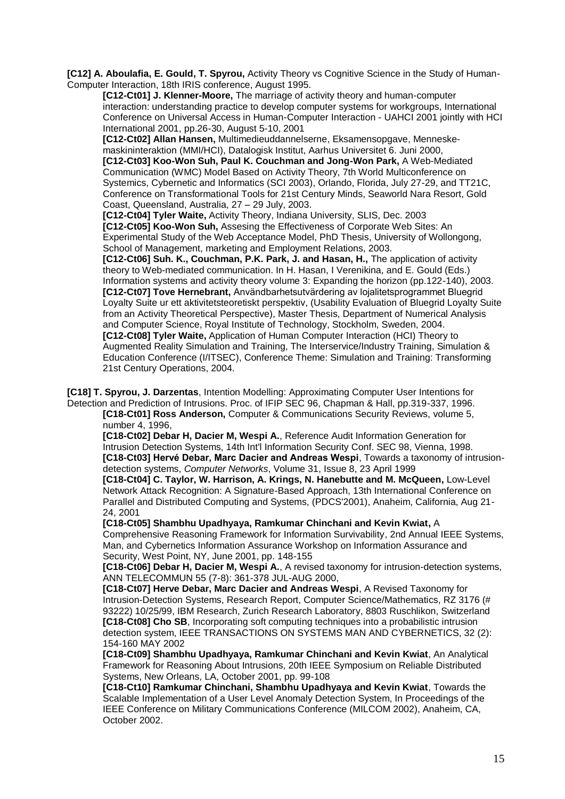**[C12] A. Aboulafia, E. Gould, T. Spyrou,** Activity Theory vs Cognitive Science in the Study of Human-Computer Interaction, 18th IRIS conference, August 1995.

**[C12-Ct01] J. Klenner-Moore,** The marriage of activity theory and human-computer interaction: understanding practice to develop computer systems for workgroups, International Conference on Universal Access in Human-Computer Interaction - UAHCI 2001 jointly with HCI International 2001, pp.26-30, August 5-10, 2001

**[C12-Ct02] Allan Hansen,** Multimedieuddannelserne, Eksamensopgave, Menneskemaskininteraktion (MMI/HCI), Datalogisk Institut, Aarhus Universitet 6. Juni 2000, **[C12-Ct03] Koo-Won Suh, Paul K. Couchman and Jong-Won Park,** A Web-Mediated Communication (WMC) Model Based on Activity Theory, 7th World Multiconference on Systemics, Cybernetic and Informatics (SCI 2003), Orlando, Florida, July 27-29, and TT21C, Conference on Transformational Tools for 21st Century Minds, Seaworld Nara Resort, Gold

Coast, Queensland, Australia, 27 – 29 July, 2003.

**[C12-Ct04] Tyler Waite,** Activity Theory, Indiana University, SLIS, Dec. 2003 **[C12-Ct05] Koo-Won Suh,** Assesing the Effectiveness of Corporate Web Sites: An Experimental Study of the Web Acceptance Model, PhD Thesis, University of Wollongong, School of Management, marketing and Employment Relations, 2003.

**[C12-Ct06] Suh. K., Couchman, P.K. Park, J. and Hasan, H.,** The application of activity theory to Web-mediated communication. In H. Hasan, I Verenikina, and E. Gould (Eds.) Information systems and activity theory volume 3: Expanding the horizon (pp.122-140), 2003. **[C12-Ct07] Tove Hernebrant,** Användbarhetsutvärdering av lojalitetsprogrammet Bluegrid Loyalty Suite ur ett aktivitetsteoretiskt perspektiv, (Usability Evaluation of Bluegrid Loyalty Suite from an Activity Theoretical Perspective), Master Thesis, Department of Numerical Analysis and Computer Science, Royal Institute of Technology, Stockholm, Sweden, 2004. **[C12-Ct08] Tyler Waite,** Application of Human Computer Interaction (HCI) Theory to Augmented Reality Simulation and Training, The Interservice/Industry Training, Simulation & Education Conference (I/ITSEC), Conference Theme: Simulation and Training: Transforming 21st Century Operations, 2004.

**[C18] T. Spyrou, J. Darzentas**, Intention Modelling: Approximating Computer User Intentions for Detection and Prediction of Intrusions. Proc. of IFIP SEC 96, Chapman & Hall, pp.319-337, 1996.

**[C18-Ct01] Ross Anderson,** Computer & Communications Security Reviews, volume 5, number 4, 1996,

**[C18-Ct02] Debar H, Dacier M, Wespi A.**, Reference Audit Information Generation for Intrusion Detection Systems, 14th Int'l Information Security Conf. SEC 98, Vienna, 1998. **[C18-Ct03] Hervé Debar, Marc Dacier and Andreas Wespi**, Towards a taxonomy of intrusiondetection systems, *Computer Networks*, Volume 31, Issue 8, 23 April 1999

**[C18-Ct04] C. Taylor, W. Harrison, A. Krings, N. Hanebutte and M. McQueen,** Low-Level Network Attack Recognition: A Signature-Based Approach, 13th International Conference on Parallel and Distributed Computing and Systems, (PDCS'2001), Anaheim, California, Aug 21- 24, 2001

**[C18-Ct05] Shambhu Upadhyaya, Ramkumar Chinchani and Kevin Kwiat,** A

Comprehensive Reasoning Framework for Information Survivability, 2nd Annual IEEE Systems, Man, and Cybernetics Information Assurance Workshop on Information Assurance and Security, West Point, NY, June 2001, pp. 148-155

**[C18-Ct06] Debar H, Dacier M, Wespi A.**, A revised taxonomy for intrusion-detection systems, ANN TELECOMMUN 55 (7-8): 361-378 JUL-AUG 2000,

**[C18-Ct07] Herve Debar, Marc Dacier and Andreas Wespi**, A Revised Taxonomy for Intrusion-Detection Systems, Research Report, Computer Science/Mathematics, RZ 3176 (# 93222) 10/25/99, IBM Research, Zurich Research Laboratory, 8803 Ruschlikon, Switzerland **[C18-Ct08] Cho SB**, Incorporating soft computing techniques into a probabilistic intrusion detection system, IEEE TRANSACTIONS ON SYSTEMS MAN AND CYBERNETICS, 32 (2): 154-160 MAY 2002

**[C18-Ct09] Shambhu Upadhyaya, Ramkumar Chinchani and Kevin Kwiat**, An Analytical Framework for Reasoning About Intrusions, 20th IEEE Symposium on Reliable Distributed Systems, New Orleans, LA, October 2001, pp. 99-108

**[C18-Ct10] Ramkumar Chinchani, Shambhu Upadhyaya and Kevin Kwiat**, Towards the Scalable Implementation of a User Level Anomaly Detection System, In Proceedings of the IEEE Conference on Military Communications Conference (MILCOM 2002), Anaheim, CA, October 2002.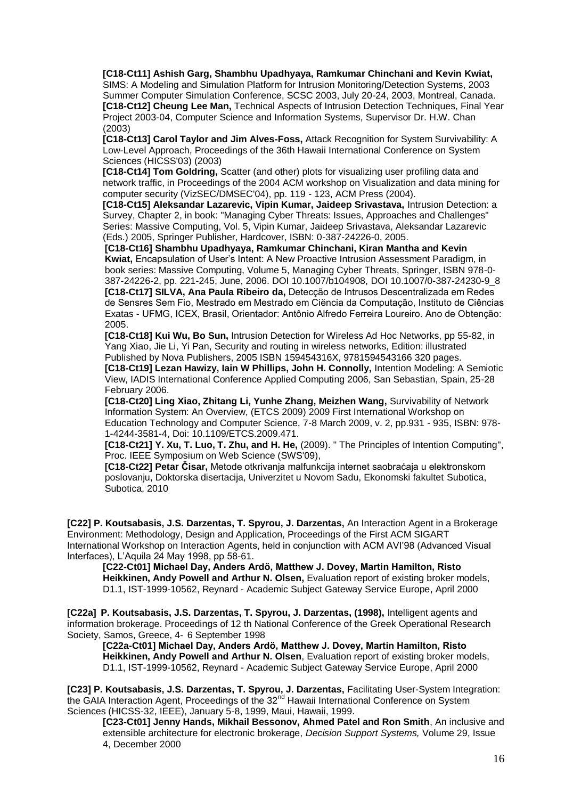**[C18-Ct11] Ashish Garg, Shambhu Upadhyaya, Ramkumar Chinchani and Kevin Kwiat,** SIMS: A Modeling and Simulation Platform for Intrusion Monitoring/Detection Systems, 2003 Summer Computer Simulation Conference, SCSC 2003, July 20-24, 2003, Montreal, Canada. **[C18-Ct12] Cheung Lee Man,** Technical Aspects of Intrusion Detection Techniques, Final Year Project 2003-04, Computer Science and Information Systems, Supervisor Dr. H.W. Chan (2003)

**[C18-Ct13] Carol Taylor and Jim Alves-Foss,** Attack Recognition for System Survivability: A Low-Level Approach, Proceedings of the 36th Hawaii International Conference on System Sciences (HICSS'03) (2003)

**[C18-Ct14] Tom Goldring,** Scatter (and other) plots for visualizing user profiling data and network traffic, in Proceedings of the 2004 ACM workshop on Visualization and data mining for computer security (VizSEC/DMSEC'04), pp. 119 - 123, ACM Press (2004).

**[C18-Ct15] Aleksandar Lazarevic, Vipin Kumar, Jaideep Srivastava,** Intrusion Detection: a Survey, Chapter 2, in book: "Managing Cyber Threats: Issues, Approaches and Challenges" Series: Massive Computing, Vol. 5, Vipin Kumar, Jaideep Srivastava, Aleksandar Lazarevic (Eds.) 2005, Springer Publisher, Hardcover, ISBN: 0-387-24226-0, 2005.

**[C18-Ct16] Shambhu Upadhyaya, Ramkumar Chinchani, Kiran Mantha and Kevin Kwiat,** Encapsulation of User"s Intent: A New Proactive Intrusion Assessment Paradigm, in book series: Massive Computing, Volume 5, Managing Cyber Threats, Springer, ISBN 978-0- 387-24226-2, pp. 221-245, June, 2006. DOI 10.1007/b104908, DOI 10.1007/0-387-24230-9\_8 **[C18-Ct17] SILVA, Ana Paula Ribeiro da,** Detecção de Intrusos Descentralizada em Redes de Sensres Sem Fio, Mestrado em Mestrado em Ciëncia da Computação, Instituto de Ciências Exatas - UFMG, ICEX, Brasil, Orientador: Antônio Alfredo Ferreira Loureiro. Ano de Obtenção: 2005.

**[C18-Ct18] Kui Wu, Bo Sun,** Intrusion Detection for Wireless Ad Hoc Networks, pp 55-82, in Yang Xiao, Jie Li, Yi Pan, Security and routing in wireless networks, Edition: illustrated Published by Nova Publishers, 2005 ISBN 159454316X, 9781594543166 320 pages.

**[C18-Ct19] Lezan Hawizy, Iain W Phillips, John H. Connolly,** Intention Modeling: A Semiotic View, IADIS International Conference Applied Computing 2006, San Sebastian, Spain, 25-28 February 2006.

**[C18-Ct20] Ling Xiao, Zhitang Li, Yunhe Zhang, Meizhen Wang,** Survivability of Network Information System: An Overview, (ETCS 2009) 2009 First International Workshop on Education Technology and Computer Science, 7-8 March 2009, v. 2, pp.931 - 935, ISBN: 978- 1-4244-3581-4, Doi: 10.1109/ETCS.2009.471.

**[C18-Ct21] Y. Xu, T. Luo, T. Zhu, and H. He,** (2009). " [The Principles of Intention Computing"](http://ieeexplore.ieee.org/Xplore/defdeny.jsp?url=http://ieeexplore.ieee.org/stamp/stamp.jsp%3Ftp%3D%26arnumber%3D5271806%26userType%3Dinst&denyReason=-134&arnumber=5271806&productsMatched=null&userType=inst), Proc. IEEE Symposium on Web Science (SWS'09),

**[C18-Ct22] Petar Čisar,** Metode otkrivanja malfunkcija internet saobraćaja u elektronskom poslovanju, Doktorska disertacija, Univerzitet u Novom Sadu, Ekonomski fakultet Subotica, Subotica, 2010

**[C22] P. Koutsabasis, J.S. Darzentas, T. Spyrou, J. Darzentas,** An Interaction Agent in a Brokerage Environment: Methodology, Design and Application, Proceedings of the First ACM SIGART International Workshop on Interaction Agents, held in conjunction with ACM AVI"98 (Advanced Visual Interfaces), L"Aquila 24 May 1998, pp 58-61.

**[C22-Ct01] Michael Day, Anders Ardö, Matthew J. Dovey, Martin Hamilton, Risto Heikkinen, Andy Powell and Arthur N. Olsen,** Evaluation report of existing broker models, D1.1, IST-1999-10562, Reynard - Academic Subject Gateway Service Europe, April 2000

**[C22a] P. Koutsabasis, J.S. Darzentas, T. Spyrou, J. Darzentas, (1998),** Intelligent agents and information brokerage. Proceedings of 12 th National Conference of the Greek Operational Research Society, Samos, Greece, 4‐ 6 September 1998

**[C22a-Ct01] Michael Day, Anders Ardö, Matthew J. Dovey, Martin Hamilton, Risto Heikkinen, Andy Powell and Arthur N. Olsen**, Evaluation report of existing broker models, D1.1, IST-1999-10562, Reynard - Academic Subject Gateway Service Europe, April 2000

**[C23] P. Koutsabasis, J.S. Darzentas, T. Spyrou, J. Darzentas,** Facilitating User-System Integration: the GAIA Interaction Agent, Proceedings of the 32<sup>nd</sup> Hawaii International Conference on System Sciences (HICSS-32, IEEE), January 5-8, 1999, Maui, Hawaii, 1999.

**[C23-Ct01] Jenny Hands, Mikhail Bessonov, Ahmed Patel and Ron Smith**, An inclusive and extensible architecture for electronic brokerage, *Decision Support Systems,* Volume 29, Issue 4, December 2000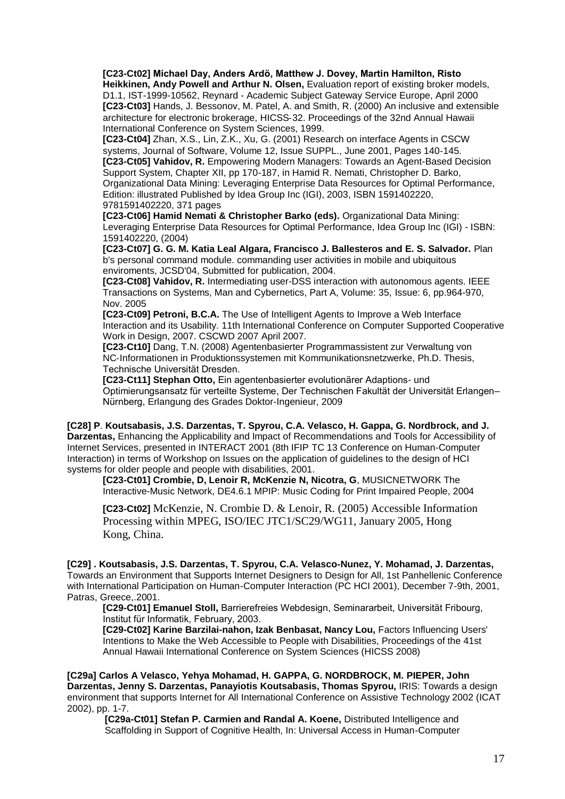**[C23-Ct02] Michael Day, Anders Ardö, Matthew J. Dovey, Martin Hamilton, Risto Heikkinen, Andy Powell and Arthur N. Olsen,** Evaluation report of existing broker models, D1.1, IST-1999-10562, Reynard - Academic Subject Gateway Service Europe, April 2000 **[C23-Ct03]** Hands, J. Bessonov, M. Patel, A. and Smith, R. (2000) An inclusive and extensible architecture for electronic brokerage, HICSS‐32. Proceedings of the 32nd Annual Hawaii International Conference on System Sciences, 1999.

**[C23-Ct04]** Zhan, X.S., Lin, Z.K., Xu, G. (2001) Research on interface Agents in CSCW systems, Journal of Software, Volume 12, Issue SUPPL., June 2001, Pages 140‐145. **[C23-Ct05] Vahidov, R.** Empowering Modern Managers: Towards an Agent-Based Decision Support System, Chapter XII, pp 170-187, in Hamid R. Nemati, Christopher D. Barko, Organizational Data Mining: Leveraging Enterprise Data Resources for Optimal Performance, Edition: illustrated Published by Idea Group Inc (IGI), 2003, ISBN 1591402220, 9781591402220, 371 pages

**[C23-Ct06] Hamid Nemati & Christopher Barko (eds).** Organizational Data Mining: Leveraging Enterprise Data Resources for Optimal Performance, Idea Group Inc (IGI) - ISBN: 1591402220, (2004)

**[C23-Ct07] G. G. M. Katia Leal Algara, Francisco J. Ballesteros and E. S. Salvador.** Plan b's personal command module. commanding user activities in mobile and ubiquitous enviroments, JCSD'04, Submitted for publication, 2004.

**[C23-Ct08] Vahidov, R.** Intermediating user-DSS interaction with autonomous agents. IEEE Transactions on Systems, Man and Cybernetics, Part A, Volume: 35, Issue: 6, pp.964-970, Nov. 2005

**[C23-Ct09] Petroni, B.C.A.** The Use of Intelligent Agents to Improve a Web Interface Interaction and its Usability. 11th International Conference on Computer Supported Cooperative Work in Design, 2007. CSCWD 2007 April 2007.

**[C23-Ct10]** Dang, T.N. (2008) Agentenbasierter Programmassistent zur Verwaltung von NC‐Informationen in Produktionssystemen mit Kommunikationsnetzwerke, Ph.D. Thesis, Technische Universität Dresden.

**[C23-Ct11] Stephan Otto,** [Ein agentenbasierter evolutionärer Adaptions-](http://deposit.ddb.de/cgi-bin/dokserv?idn=999032623&dok_var=d1&dok_ext=pdf&filename=999032623.pdf) und [Optimierungsansatz für verteilte Systeme,](http://deposit.ddb.de/cgi-bin/dokserv?idn=999032623&dok_var=d1&dok_ext=pdf&filename=999032623.pdf) [Der Technischen Fakultät der Universität Erlangen–](http://www.techfak.uni-erlangen.de/) [Nürnberg,](http://www.techfak.uni-erlangen.de/) Erlangung des Grades Doktor-Ingenieur, 2009

**[C28] P**. **Koutsabasis, J.S. Darzentas, T. Spyrou, C.A. Velasco, H. Gappa, G. Nordbrock, and J. Darzentas,** Enhancing the Applicability and Impact of Recommendations and Tools for Accessibility of Internet Services, presented in INTERACT 2001 (8th IFIP TC 13 Conference on Human-Computer Interaction) in terms of Workshop on Issues on the application of guidelines to the design of HCI systems for older people and people with disabilities, 2001.

**[C23-Ct01] Crombie, D, Lenoir R, McKenzie N, Nicotra, G**, MUSICNETWORK The Interactive-Music Network, DE4.6.1 MPIP: Music Coding for Print Impaired People, 2004

**[C23-Ct02]** McKenzie, N. Crombie D. & Lenoir, R. (2005) Accessible Information Processing within MPEG, ISO/IEC JTC1/SC29/WG11, January 2005, Hong Kong, China.

**[C29] . Koutsabasis, J.S. Darzentas, T. Spyrou, C.A. Velasco-Nunez, Y. Mohamad, J. Darzentas,** Towards an Environment that Supports Internet Designers to Design for All, 1st Panhellenic Conference with International Participation on Human-Computer Interaction (PC HCI 2001), December 7-9th, 2001, Patras, Greece,.2001.

**[C29-Ct01] Emanuel Stoll,** Barrierefreies Webdesign, Seminararbeit, Universität Fribourg, Institut für Informatik, February, 2003.

**[C29-Ct02] Karine Barzilai-nahon, Izak Benbasat, Nancy Lou,** Factors Influencing Users' Intentions to Make the Web Accessible to People with Disabilities, Proceedings of the 41st Annual Hawaii International Conference on System Sciences (HICSS 2008)

**[C29a] Carlos A Velasco, Yehya Mohamad, H. GAPPA, G. NORDBROCK, M. PIEPER, John Darzentas, Jenny S. Darzentas, Panayiotis Koutsabasis, Thomas Spyrou,** IRIS: Towards a design environment that supports Internet for All International Conference on Assistive Technology 2002 (ICAT 2002), pp. 1-7.

**[C29a-Ct01] Stefan P. Carmien and Randal A. Koene,** Distributed Intelligence and Scaffolding in Support of Cognitive Health, In: Universal Access in Human-Computer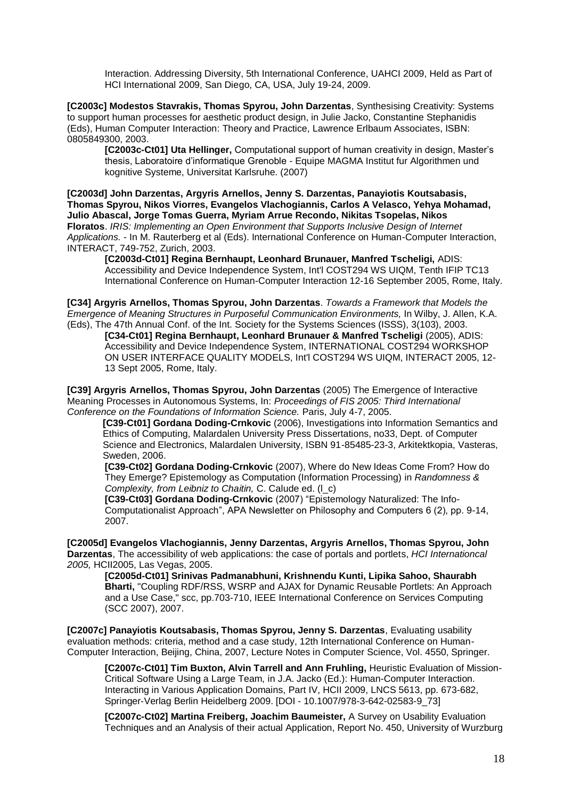Interaction. Addressing Diversity, 5th International Conference, UAHCI 2009, Held as Part of HCI International 2009, San Diego, CA, USA, July 19-24, 2009.

**[C2003c] Modestos Stavrakis, Thomas Spyrou, John Darzentas**, Synthesising Creativity: Systems to support human processes for aesthetic product design, in Julie Jacko, Constantine Stephanidis (Eds), Human Computer Interaction: Theory and Practice, Lawrence Erlbaum Associates, ISBN: 0805849300, 2003.

**[C2003c-Ct01] Uta Hellinger,** Computational support of human creativity in design, Master"s thesis, Laboratoire d"informatique Grenoble - Equipe MAGMA Institut fur Algorithmen und kognitive Systeme, Universitat Karlsruhe. (2007)

**[C2003d] John Darzentas, [Argyris Arnellos,](http://www.syros.aegean.gr/users/arar/) Jenny S. Darzentas, Panayiotis [Koutsabasis,](http://www.syros.aegean.gr/users/kgp) [Thomas Spyrou,](http://www.syros.aegean.gr/users/tsp) [Nikos Viorres,](http://www.syros.aegean.gr/users/nviorres) [Evangelos Vlachogiannis,](http://www.syros.aegean.gr/users/evlach) Carlos A Velasco, Yehya Mohamad, Julio Abascal, Jorge Tomas Guerra, Myriam Arrue Recondo, Nikitas Tsopelas, Nikos Floratos**. *[IRIS: Implementing an Open Environment that Supports Inclusive Design of Internet](http://www.idemployee.id.tue.nl/g.w.m.rauterberg/conferences/INTERACT2003/INTERACT2003-p749.pdf)  [Applications.](http://www.idemployee.id.tue.nl/g.w.m.rauterberg/conferences/INTERACT2003/INTERACT2003-p749.pdf)* - In M. Rauterberg et al (Eds). International Conference on Human-Computer Interaction, INTERACT, 749-752, Zurich, 2003.

**[C2003d-Ct01] Regina Bernhaupt, Leonhard Brunauer, Manfred Tscheligi,** [ADIS:](http://citeseerx.ist.psu.edu/viewdoc/download?doi=10.1.1.144.9083&rep=rep1&type=pdf)  [Accessibility and Device Independence System,](http://citeseerx.ist.psu.edu/viewdoc/download?doi=10.1.1.144.9083&rep=rep1&type=pdf) Int'l COST294 WS UIQM, Tenth IFIP TC13 International Conference on Human-Computer Interaction 12-16 September 2005, Rome, Italy.

**[C34] [Argyris Arnellos,](http://www.syros.aegean.gr/users/arar/) [Thomas Spyrou,](http://www.syros.aegean.gr/users/tsp) John Darzentas**. *Towards a Framework that Models the Emergence of Meaning Structures in Purposeful Communication Environments,* In Wilby, J. Allen, K.A. (Eds), The 47th Annual Conf. of the Int. Society for the Systems Sciences (ISSS), 3(103), 2003.

**[C34-Ct01] Regina Bernhaupt, Leonhard Brunauer & Manfred Tscheligi** (2005), [ADIS:](http://141.115.28.2/cost294/upload/395.pdf#page=59)  [Accessibility and Device Independence System,](http://141.115.28.2/cost294/upload/395.pdf#page=59) INTERNATIONAL COST294 WORKSHOP ON USER INTERFACE QUALITY MODELS, Int'l COST294 WS UIQM, INTERACT 2005, 12- 13 Sept 2005, Rome, Italy.

**[C39] Argyris Arnellos, Thomas Spyrou, John Darzentas** (2005) The Emergence of Interactive Meaning Processes in Autonomous Systems, In: *Proceedings of FIS 2005: Third International Conference on the Foundations of Information Science.* Paris, July 4-7, 2005.

**[C39-Ct01] Gordana Doding-Crnkovic** (2006), Investigations into Information Semantics and Ethics of Computing, Malardalen University Press Dissertations, no33, Dept. of Computer Science and Electronics, Malardalen University, ISBN 91-85485-23-3, Arkitektkopia, Vasteras, Sweden, 2006.

**[C39-Ct02] [Gordana Doding-Crnkovic](http://www.idt.mdh.se/~gdc/)** (2007), [Where do New Ideas Come From? How do](http://www.idt.mdh.se/~gdc/work/NewIdeas.pdf)  [They Emerge? Epistemology as Computation \(Information Processing\)](http://www.idt.mdh.se/~gdc/work/NewIdeas.pdf) in *Randomness & Complexity, from Leibniz to Chaitin,* C. Calude ed. [\(l\\_c\)](http://www.syros.aegean.gr/users/tsp/citations_dnl/NewIdeas.pdf)

**[C39-Ct03] [Gordana Doding-Crnkovic](http://www.idt.mdh.se/~gdc/)** (2007) ["Epistemology Naturalized: The Info-](http://www.apaonline.org/publications/newsletters/v06n2_Computers_04.aspx)[Computationalist Approach"](http://www.apaonline.org/publications/newsletters/v06n2_Computers_04.aspx), APA Newsletter on Philosophy and Computers 6 (2), pp. 9-14, 2007.

**[C2005d] [Evangelos Vlachogiannis,](http://www.syros.aegean.gr/users/evlach) Jenny Darzentas, [Argyris Arnellos,](http://www.syros.aegean.gr/users/arar/) [Thomas Spyrou,](http://www.syros.aegean.gr/users/tsp) John Darzentas**, The accessibility of web applications: the case of portals and portlets, *HCI Internationcal 2005,* HCII2005, Las Vegas, 2005.

**[C2005d-Ct01] Srinivas Padmanabhuni, Krishnendu Kunti, Lipika Sahoo, Shaurabh Bharti,** "Coupling RDF/RSS, WSRP and AJAX for Dynamic Reusable Portlets: An Approach and a Use Case," scc, pp.703-710, IEEE International Conference on Services Computing (SCC 2007), 2007.

**[C2007c] Panayiotis Koutsabasis, Thomas Spyrou, Jenny S. Darzentas**, Evaluating usability evaluation methods: criteria, method and a case study, 12th International Conference on Human-Computer Interaction, Beijing, China, 2007, Lecture Notes in Computer Science, Vol. 4550, Springer.

**[C2007c-Ct01] Tim Buxton, Alvin Tarrell and Ann Fruhling,** Heuristic Evaluation of Mission-Critical Software Using a Large Team, in J.A. Jacko (Ed.): Human-Computer Interaction. Interacting in Various Application Domains, Part IV, HCII 2009, LNCS 5613, pp. 673-682, Springer‐Verlag Berlin Heidelberg 2009. [DOI - 10.1007/978-3-642-02583-9\_73]

**[C2007c-Ct02] Martina Freiberg, Joachim Baumeister,** A Survey on Usability Evaluation Techniques and an Analysis of their actual Application, Report No. 450, University of Wurzburg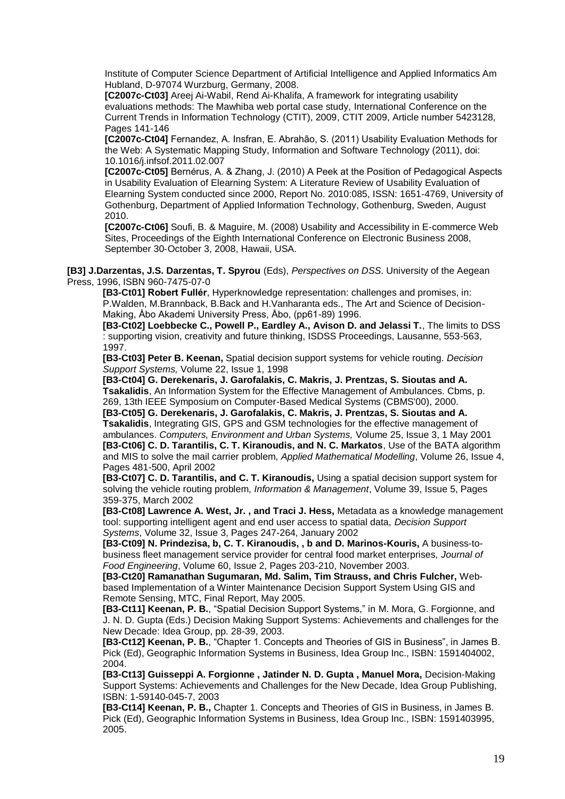Institute of Computer Science Department of Artificial Intelligence and Applied Informatics Am Hubland, D-97074 Wurzburg, Germany, 2008.

**[C2007c-Ct03]** [Areej Ai-Wabil,](http://www.scopus.com/authid/detail.url?authorId=35809719200) [Rend Ai-Khalifa,](http://www.scopus.com/authid/detail.url?authorId=35809705200) A framework for integrating usability evaluations methods: The Mawhiba web portal case study, [International Conference on the](http://ieeexplore.ieee.org/xpl/mostRecentIssue.jsp?punumber=5416833)  [Current Trends in Information Technology \(CTIT\), 2009,](http://ieeexplore.ieee.org/xpl/mostRecentIssue.jsp?punumber=5416833) CTIT 2009, Article number 5423128, Pages 141-146

**[C2007c-Ct04]** Fernandez, A. Insfran, E. Abrahão, S. (2011) Usability Evaluation Methods for the Web: A Systematic Mapping Study, Information and Software Technology (2011), doi: 10.1016/j.infsof.2011.02.007

**[C2007c-Ct05]** Bernérus, A. & Zhang, J. (2010) A Peek at the Position of Pedagogical Aspects in Usability Evaluation of Elearning System: A Literature Review of Usability Evaluation of Elearning System conducted since 2000, Report No. 2010:085, ISSN: 1651‐4769, University of Gothenburg, Department of Applied Information Technology, Gothenburg, Sweden, August 2010.

**[C2007c-Ct06]** Soufi, B. & Maguire, M. (2008) Usability and Accessibility in E‐commerce Web Sites, Proceedings of the Eighth International Conference on Electronic Business 2008, September 30‐October 3, 2008, Hawaii, USA.

**[B3] J.Darzentas, J.S. Darzentas, T. Spyrou** (Eds), *Perspectives on DSS*. University of the Aegean Press, 1996, ISBN 960-7475-07-0

**[B3-Ct01] Robert Fullér**, Hyperknowledge representation: challenges and promises, in: P.Walden, M.Brannback, B.Back and H.Vanharanta eds., The Art and Science of Decision-Making, Åbo Akademi University Press, Åbo, (pp61-89) 1996.

**[B3-Ct02] Loebbecke C., Powell P., Eardley A., Avison D. and Jelassi T.**, The limits to DSS : supporting vision, creativity and future thinking, ISDSS Proceedings, Lausanne, 553-563, 1997.

**[B3-Ct03] Peter B. Keenan,** Spatial decision support systems for vehicle routing. *Decision Support Systems,* Volume 22, Issue 1, 1998

**[B3-Ct04] G. Derekenaris, J. Garofalakis, C. Makris, J. Prentzas, S. Sioutas and A. Tsakalidis**, An Information System for the Effective Management of Ambulances. Cbms, p. 269, 13th IEEE Symposium on Computer-Based Medical Systems (CBMS'00), 2000.

**[B3-Ct05] G. Derekenaris, J. Garofalakis, C. Makris, J. Prentzas, S. Sioutas and A. Tsakalidis**, Integrating GIS, GPS and GSM technologies for the effective management of ambulances. *Computers, Environment and Urban Systems,* Volume 25, Issue 3, 1 May 2001 **[B3-Ct06] C. D. Tarantilis, C. T. Kiranoudis, and N. C. Markatos**, Use of the BATA algorithm and MIS to solve the mail carrier problem, *Applied Mathematical Modelling*, Volume 26, Issue 4, Pages 481-500, April 2002

**[B3-Ct07] C. D. Tarantilis, and C. T. Kiranoudis,** Using a spatial decision support system for solving the vehicle routing problem, *Information & Management*, Volume 39, Issue 5, Pages 359-375, March 2002

**[B3-Ct08] Lawrence A. West, Jr. , and Traci J. Hess,** Metadata as a knowledge management tool: supporting intelligent agent and end user access to spatial data, *Decision Support Systems*, Volume 32, Issue 3, Pages 247-264, January 2002

**[B3-Ct09] N. Prindezisa, b, C. T. Kiranoudis, , b and D. Marinos-Kouris,** A business-tobusiness fleet management service provider for central food market enterprises, *Journal of Food Engineering*, Volume 60, Issue 2, Pages 203-210, November 2003.

**[B3-Ct20] Ramanathan Sugumaran, Md. Salim, Tim Strauss, and Chris Fulcher,** Webbased Implementation of a Winter Maintenance Decision Support System Using GIS and Remote Sensing, MTC, Final Report, May 2005.

**[B3-Ct11] Keenan, P. B.**, "Spatial Decision Support Systems," in M. Mora, G. Forgionne, and J. N. D. Gupta (Eds.) Decision Making Support Systems: Achievements and challenges for the New Decade: Idea Group, pp. 28-39, 2003.

**[B3-Ct12] Keenan, P. B.**, "Chapter 1. Concepts and Theories of GIS in Business", in James B. Pick (Ed), Geographic Information Systems in Business, Idea Group Inc., ISBN: 1591404002, 2004.

**[B3-Ct13] Guisseppi A. Forgionne , Jatinder N. D. Gupta , Manuel Mora,** Decision-Making Support Systems: Achievements and Challenges for the New Decade, Idea Group Publishing, ISBN: 1-59140-045-7, 2003

**[B3-Ct14] Keenan, P. B.,** Chapter 1. Concepts and Theories of GIS in Business, in James B. Pick (Ed), Geographic Information Systems in Business, Idea Group Inc., ISBN: 1591403995, 2005.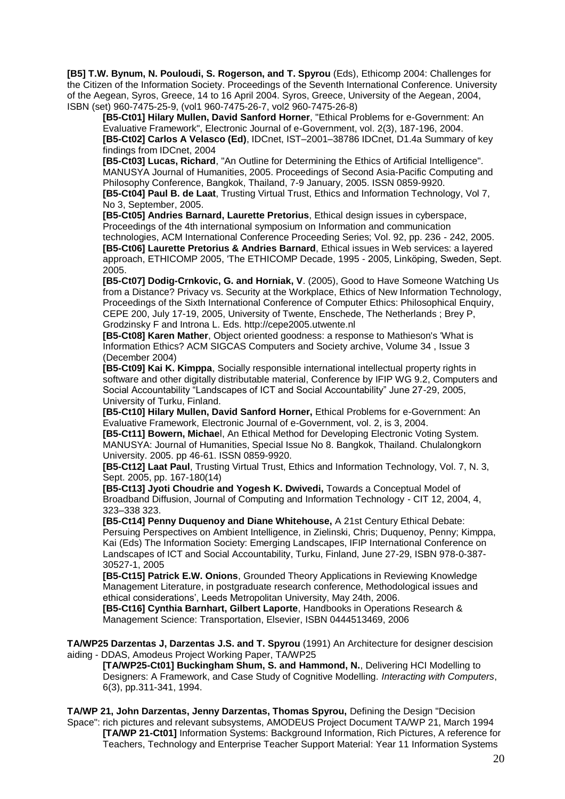**[B5] T.W. Bynum, N. Pouloudi, S. Rogerson, and T. Spyrou** (Eds), Ethicomp 2004: Challenges for the Citizen of the Information Society. Proceedings of the Seventh International Conference. University of the Aegean, Syros, Greece, 14 to 16 April 2004. Syros, Greece, University of the Aegean, 2004, ISBN (set) 960-7475-25-9, (vol1 960-7475-26-7, vol2 960-7475-26-8)

**[B5-Ct01] Hilary Mullen, David Sanford Horner**, "Ethical Problems for e-Government: An Evaluative Framework", Electronic Journal of e-Government, vol. 2(3), 187-196, 2004. **[B5-Ct02] Carlos A Velasco (Ed)**, IDCnet, IST–2001–38786 IDCnet, D1.4a Summary of key findings from IDCnet, 2004

**[B5-Ct03] Lucas, Richard**, "An Outline for Determining the Ethics of Artificial Intelligence". MANUSYA Journal of Humanities, 2005. Proceedings of Second Asia-Pacific Computing and Philosophy Conference, Bangkok, Thailand, 7-9 January, 2005. ISSN 0859-9920. **[B5-Ct04] Paul B. de Laat**, Trusting Virtual Trust, Ethics and Information Technology, Vol 7, No 3, September, 2005.

**[B5-Ct05] Andries Barnard, Laurette Pretorius**, Ethical design issues in cyberspace, Proceedings of the 4th international symposium on Information and communication technologies, ACM International Conference Proceeding Series; Vol. 92, pp. 236 - 242, 2005. **[B5-Ct06] Laurette Pretorius & Andries Barnard**, Ethical issues in Web services: a layered approach, ETHICOMP 2005, 'The ETHICOMP Decade, 1995 - 2005, Linköping, Sweden, Sept.

2005. **[B5-Ct07] Dodig-Crnkovic, G. and Horniak, V**. (2005), Good to Have Someone Watching Us from a Distance? Privacy vs. Security at the Workplace, Ethics of New Information Technology, Proceedings of the Sixth International Conference of Computer Ethics: Philosophical Enquiry, CEPE 200, July 17-19, 2005, University of Twente, Enschede, The Netherlands ; Brey P, Grodzinsky F and Introna L. Eds. http://cepe2005.utwente.nl

**[B5-Ct08] Karen Mather**, Object oriented goodness: a response to Mathieson's 'What is Information Ethics? ACM SIGCAS Computers and Society archive, Volume 34 , Issue 3 (December 2004)

**[B5-Ct09] Kai K. Kimppa**, Socially responsible international intellectual property rights in software and other digitally distributable material, Conference by IFIP WG 9.2, Computers and Social Accountability "Landscapes of ICT and Social Accountability" June 27-29, 2005, University of Turku, Finland.

**[B5-Ct10] Hilary Mullen, David Sanford Horner,** Ethical Problems for e-Government: An Evaluative Framework, Electronic Journal of e-Government, vol. 2, is 3, 2004.

**[B5-Ct11] Bowern, Michae**l, An Ethical Method for Developing Electronic Voting System. MANUSYA: Journal of Humanities, Special Issue No 8. Bangkok, Thailand. Chulalongkorn University. 2005. pp 46-61. ISSN 0859-9920.

**[B5-Ct12] Laat Paul**, Trusting Virtual Trust, Ethics and Information Technology, Vol. 7, N. 3, Sept. 2005, pp. 167-180(14)

**[B5-Ct13] Jyoti Choudrie and Yogesh K. Dwivedi,** Towards a Conceptual Model of Broadband Diffusion, Journal of Computing and Information Technology - CIT 12, 2004, 4, 323–338 323.

**[B5-Ct14] Penny Duquenoy and Diane Whitehouse,** A 21st Century Ethical Debate: Persuing Perspectives on Ambient Intelligence, in Zielinski, Chris; Duquenoy, Penny; Kimppa, Kai (Eds) The Information Society: Emerging Landscapes, IFIP International Conference on Landscapes of ICT and Social Accountability, Turku, Finland, June 27-29, ISBN 978-0-387- 30527-1, 2005

**[B5-Ct15] Patrick E.W. Onions**, Grounded Theory Applications in Reviewing Knowledge Management Literature, in postgraduate research conference, Methodological issues and ethical considerations", Leeds Metropolitan University, May 24th, 2006.

**[B5-Ct16] Cynthia Barnhart, Gilbert Laporte**, Handbooks in Operations Research & Management Science: Transportation, Elsevier, ISBN 0444513469, 2006

**TA/WP25 Darzentas J, Darzentas J.S. and T. Spyrou** (1991) An Architecture for designer descision aiding - DDAS, Amodeus Project Working Paper, TA/WP25

**[TA/WP25-Ct01] Buckingham Shum, S. and Hammond, N.**, Delivering HCI Modelling to Designers: A Framework, and Case Study of Cognitive Modelling. *Interacting with Computers*, 6(3), pp.311-341, 1994.

**TA/WP 21, John Darzentas, Jenny Darzentas, Thomas Spyrou,** Defining the Design "Decision Space": rich pictures and relevant subsystems, AMODEUS Project Document TA/WP 21, March 1994 **[TA/WP 21-Ct01]** Information Systems: Background Information, Rich Pictures, A reference for Teachers, Technology and Enterprise Teacher Support Material: Year 11 Information Systems